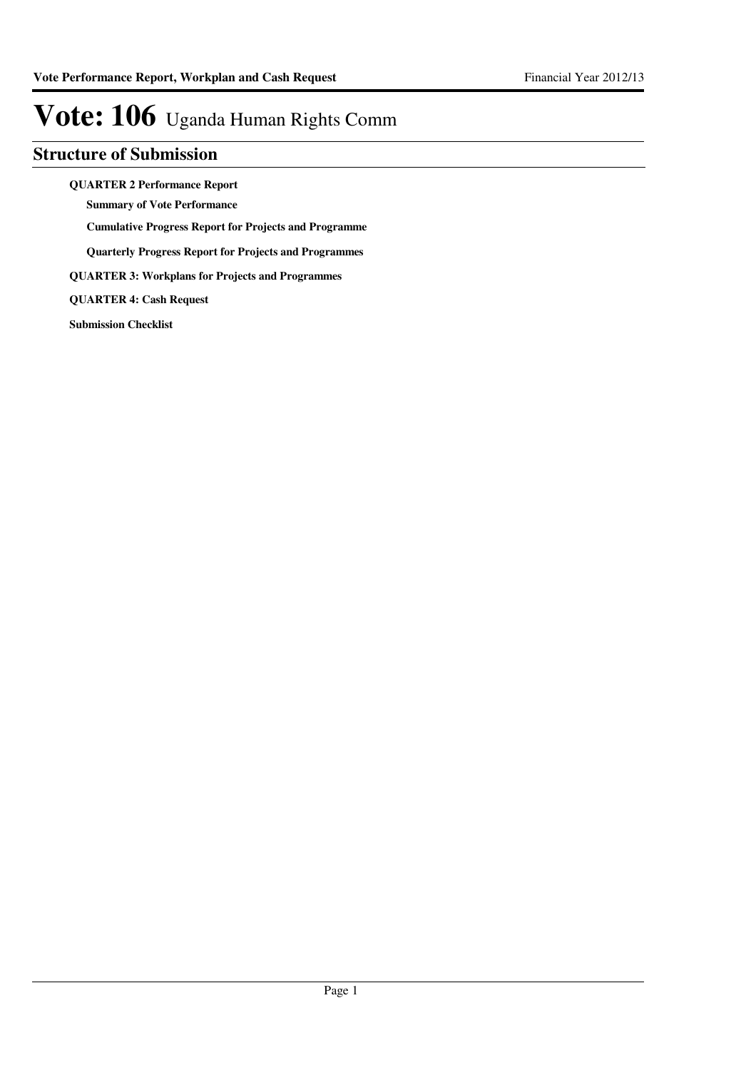### **Structure of Submission**

**QUARTER 2 Performance Report**

**Summary of Vote Performance**

**Cumulative Progress Report for Projects and Programme**

**Quarterly Progress Report for Projects and Programmes**

**QUARTER 3: Workplans for Projects and Programmes**

**QUARTER 4: Cash Request**

**Submission Checklist**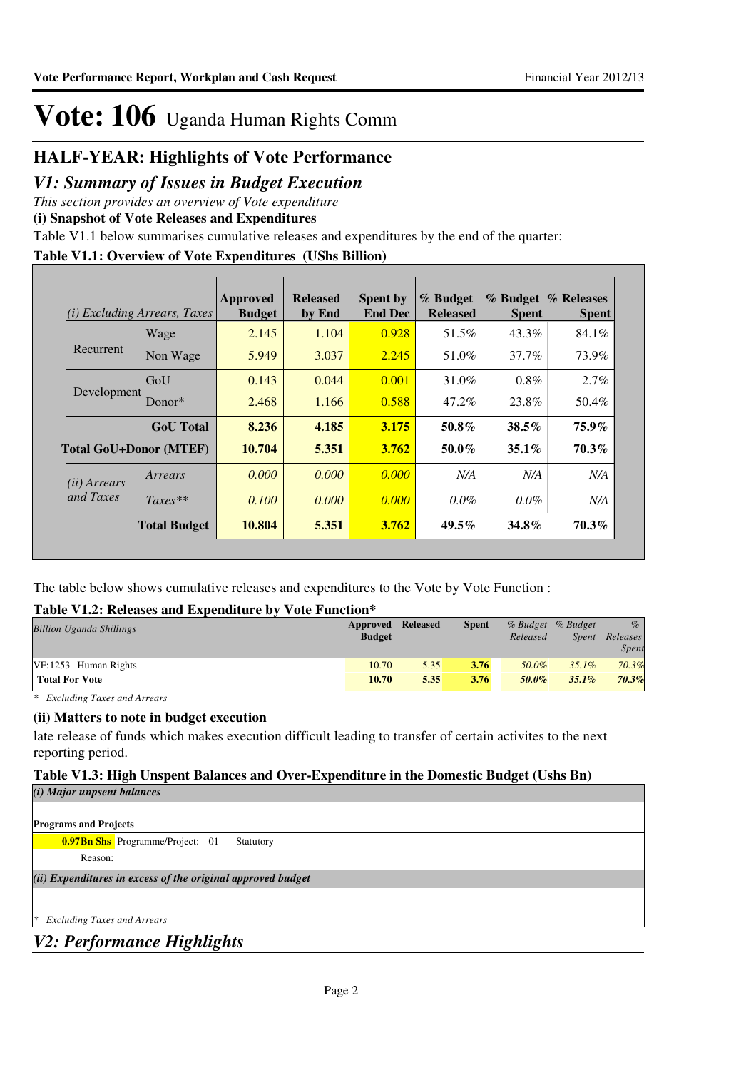### **HALF-YEAR: Highlights of Vote Performance**

### *V1: Summary of Issues in Budget Execution*

*This section provides an overview of Vote expenditure* 

**(i) Snapshot of Vote Releases and Expenditures**

Table V1.1 below summarises cumulative releases and expenditures by the end of the quarter:

#### **Table V1.1: Overview of Vote Expenditures (UShs Billion)**

| (i)                   | <i>Excluding Arrears, Taxes</i> | Approved<br><b>Budget</b> | <b>Released</b><br>by End | <b>Spent by</b><br><b>End Dec</b> | % Budget<br><b>Released</b> | <b>Spent</b> | % Budget % Releases<br><b>Spent</b> |
|-----------------------|---------------------------------|---------------------------|---------------------------|-----------------------------------|-----------------------------|--------------|-------------------------------------|
|                       | Wage                            | 2.145                     | 1.104                     | 0.928                             | 51.5%                       | 43.3%        | 84.1%                               |
| Recurrent             | Non Wage                        | 5.949                     | 3.037                     | 2.245                             | 51.0%                       | 37.7%        | 73.9%                               |
|                       | GoU                             | 0.143                     | 0.044                     | 0.001                             | 31.0%                       | $0.8\%$      | 2.7%                                |
| Development           | Donor $*$                       | 2.468                     | 1.166                     | 0.588                             | 47.2%                       | 23.8%        | 50.4%                               |
|                       | <b>GoU</b> Total                | 8.236                     | 4.185                     | 3.175                             | 50.8%                       | $38.5\%$     | $75.9\%$                            |
|                       | <b>Total GoU+Donor (MTEF)</b>   | 10.704                    | 5.351                     | 3.762                             | $50.0\%$                    | $35.1\%$     | 70.3%                               |
| ( <i>ii</i> ) Arrears | Arrears                         | 0.000                     | 0.000                     | 0.000                             | N/A                         | N/A          | N/A                                 |
| and Taxes             | $Taxes**$                       | 0.100                     | 0.000                     | 0.000                             | $0.0\%$                     | $0.0\%$      | N/A                                 |
|                       | <b>Total Budget</b>             | 10.804                    | 5.351                     | 3.762                             | $49.5\%$                    | 34.8%        | $70.3\%$                            |

The table below shows cumulative releases and expenditures to the Vote by Vote Function :

#### **Table V1.2: Releases and Expenditure by Vote Function\***

| <b>Billion Uganda Shillings</b> | <b>Approved Released</b><br><b>Budget</b> |      | <b>Spent</b> | Released | % Budget % Budget<br><i>Spent</i> | $\%$<br>Releases<br>Spent |
|---------------------------------|-------------------------------------------|------|--------------|----------|-----------------------------------|---------------------------|
| $VF: 1253$ Human Rights         | 10.70                                     | 5.35 | 3.76         | 50.0%    | $35.1\%$                          | 70.3%                     |
| <b>Total For Vote</b>           | 10.70                                     | 5.35 | 3.76         | 50.0%    | $35.1\%$                          | 70.3%                     |

*\* Excluding Taxes and Arrears*

#### **(ii) Matters to note in budget execution**

late release of funds which makes execution difficult leading to transfer of certain activites to the next reporting period.

### **Table V1.3: High Unspent Balances and Over-Expenditure in the Domestic Budget (Ushs Bn)**

*(i) Major unpsent balances*

**Programs and Projects**

**0.97Bn Shs** Programme/Project: 01 Statutory

Reason:

*(ii) Expenditures in excess of the original approved budget*

*\* Excluding Taxes and Arrears*

*V2: Performance Highlights*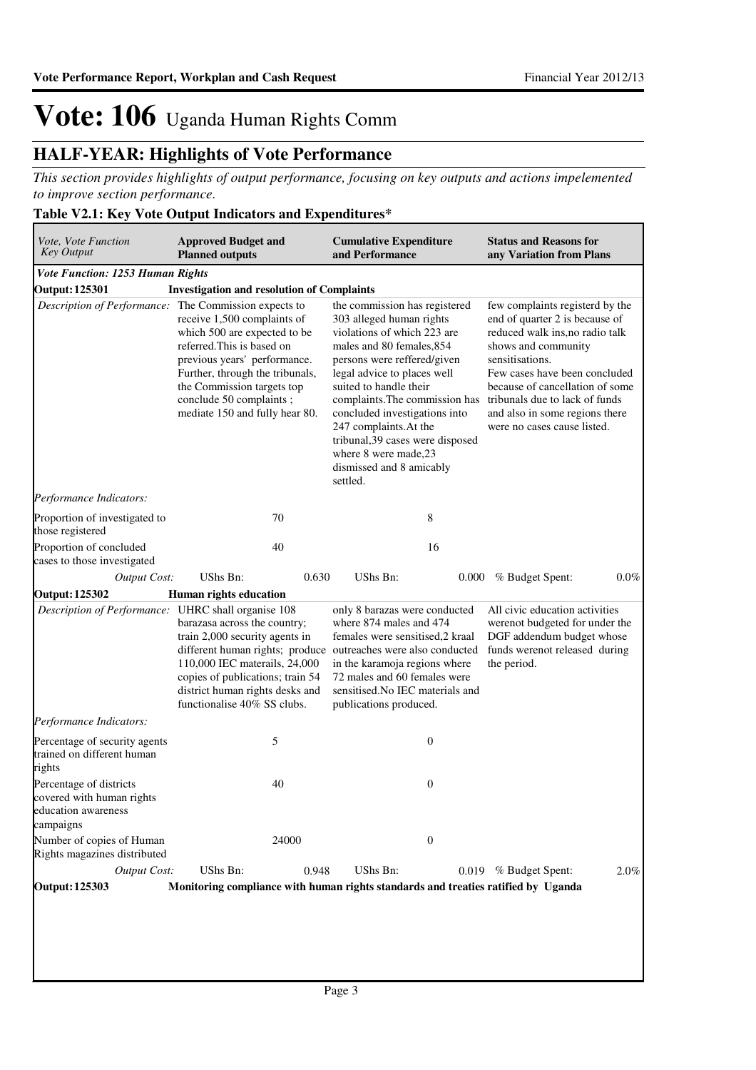### **HALF-YEAR: Highlights of Vote Performance**

*This section provides highlights of output performance, focusing on key outputs and actions impelemented to improve section performance.*

### **Table V2.1: Key Vote Output Indicators and Expenditures\***

| Vote, Vote Function<br><b>Key Output</b>                                                 | <b>Approved Budget and</b><br><b>Planned outputs</b>                                                                                                                                                                                                    | <b>Cumulative Expenditure</b><br>and Performance                                                                                                                                                                                                                                                                                                                                                                | <b>Status and Reasons for</b><br>any Variation from Plans                                                                                                                                                                                                                                                             |
|------------------------------------------------------------------------------------------|---------------------------------------------------------------------------------------------------------------------------------------------------------------------------------------------------------------------------------------------------------|-----------------------------------------------------------------------------------------------------------------------------------------------------------------------------------------------------------------------------------------------------------------------------------------------------------------------------------------------------------------------------------------------------------------|-----------------------------------------------------------------------------------------------------------------------------------------------------------------------------------------------------------------------------------------------------------------------------------------------------------------------|
| Vote Function: 1253 Human Rights                                                         |                                                                                                                                                                                                                                                         |                                                                                                                                                                                                                                                                                                                                                                                                                 |                                                                                                                                                                                                                                                                                                                       |
| <b>Output: 125301</b>                                                                    | <b>Investigation and resolution of Complaints</b>                                                                                                                                                                                                       |                                                                                                                                                                                                                                                                                                                                                                                                                 |                                                                                                                                                                                                                                                                                                                       |
| Description of Performance: The Commission expects to                                    | receive 1,500 complaints of<br>which 500 are expected to be<br>referred. This is based on<br>previous years' performance.<br>Further, through the tribunals,<br>the Commission targets top<br>conclude 50 complaints;<br>mediate 150 and fully hear 80. | the commission has registered<br>303 alleged human rights<br>violations of which 223 are<br>males and 80 females, 854<br>persons were reffered/given<br>legal advice to places well<br>suited to handle their<br>complaints. The commission has<br>concluded investigations into<br>247 complaints. At the<br>tribunal, 39 cases were disposed<br>where 8 were made, 23<br>dismissed and 8 amicably<br>settled. | few complaints registerd by the<br>end of quarter 2 is because of<br>reduced walk ins, no radio talk<br>shows and community<br>sensitisations.<br>Few cases have been concluded<br>because of cancellation of some<br>tribunals due to lack of funds<br>and also in some regions there<br>were no cases cause listed. |
| Performance Indicators:                                                                  |                                                                                                                                                                                                                                                         |                                                                                                                                                                                                                                                                                                                                                                                                                 |                                                                                                                                                                                                                                                                                                                       |
| Proportion of investigated to<br>those registered                                        | 70                                                                                                                                                                                                                                                      | 8                                                                                                                                                                                                                                                                                                                                                                                                               |                                                                                                                                                                                                                                                                                                                       |
| Proportion of concluded<br>cases to those investigated                                   | 40                                                                                                                                                                                                                                                      | 16                                                                                                                                                                                                                                                                                                                                                                                                              |                                                                                                                                                                                                                                                                                                                       |
| <b>Output Cost:</b>                                                                      | UShs Bn:<br>0.630                                                                                                                                                                                                                                       | UShs Bn:<br>0.000                                                                                                                                                                                                                                                                                                                                                                                               | $0.0\%$<br>% Budget Spent:                                                                                                                                                                                                                                                                                            |
| <b>Output: 125302</b>                                                                    | Human rights education                                                                                                                                                                                                                                  |                                                                                                                                                                                                                                                                                                                                                                                                                 |                                                                                                                                                                                                                                                                                                                       |
| Description of Performance: UHRC shall organise 108                                      | barazasa across the country;<br>train 2,000 security agents in<br>different human rights; produce<br>110,000 IEC materails, 24,000<br>copies of publications; train 54<br>district human rights desks and<br>functionalise 40% SS clubs.                | only 8 barazas were conducted<br>where 874 males and 474<br>females were sensitised,2 kraal<br>outreaches were also conducted<br>in the karamoja regions where<br>72 males and 60 females were<br>sensitised. No IEC materials and<br>publications produced.                                                                                                                                                    | All civic education activities<br>werenot budgeted for under the<br>DGF addendum budget whose<br>funds werenot released during<br>the period.                                                                                                                                                                         |
| Performance Indicators:                                                                  |                                                                                                                                                                                                                                                         |                                                                                                                                                                                                                                                                                                                                                                                                                 |                                                                                                                                                                                                                                                                                                                       |
| Percentage of security agents<br>trained on different human<br>rights                    | 5                                                                                                                                                                                                                                                       | $\boldsymbol{0}$                                                                                                                                                                                                                                                                                                                                                                                                |                                                                                                                                                                                                                                                                                                                       |
| Percentage of districts<br>covered with human rights<br>education awareness<br>campaigns | 40                                                                                                                                                                                                                                                      | $\boldsymbol{0}$                                                                                                                                                                                                                                                                                                                                                                                                |                                                                                                                                                                                                                                                                                                                       |
| Number of copies of Human<br>Rights magazines distributed                                | 24000                                                                                                                                                                                                                                                   | $\boldsymbol{0}$                                                                                                                                                                                                                                                                                                                                                                                                |                                                                                                                                                                                                                                                                                                                       |
| <b>Output Cost:</b>                                                                      | UShs Bn:<br>0.948                                                                                                                                                                                                                                       | UShs Bn:                                                                                                                                                                                                                                                                                                                                                                                                        | 0.019 % Budget Spent:<br>2.0%                                                                                                                                                                                                                                                                                         |
| <b>Output: 125303</b>                                                                    |                                                                                                                                                                                                                                                         | Monitoring compliance with human rights standards and treaties ratified by Uganda                                                                                                                                                                                                                                                                                                                               |                                                                                                                                                                                                                                                                                                                       |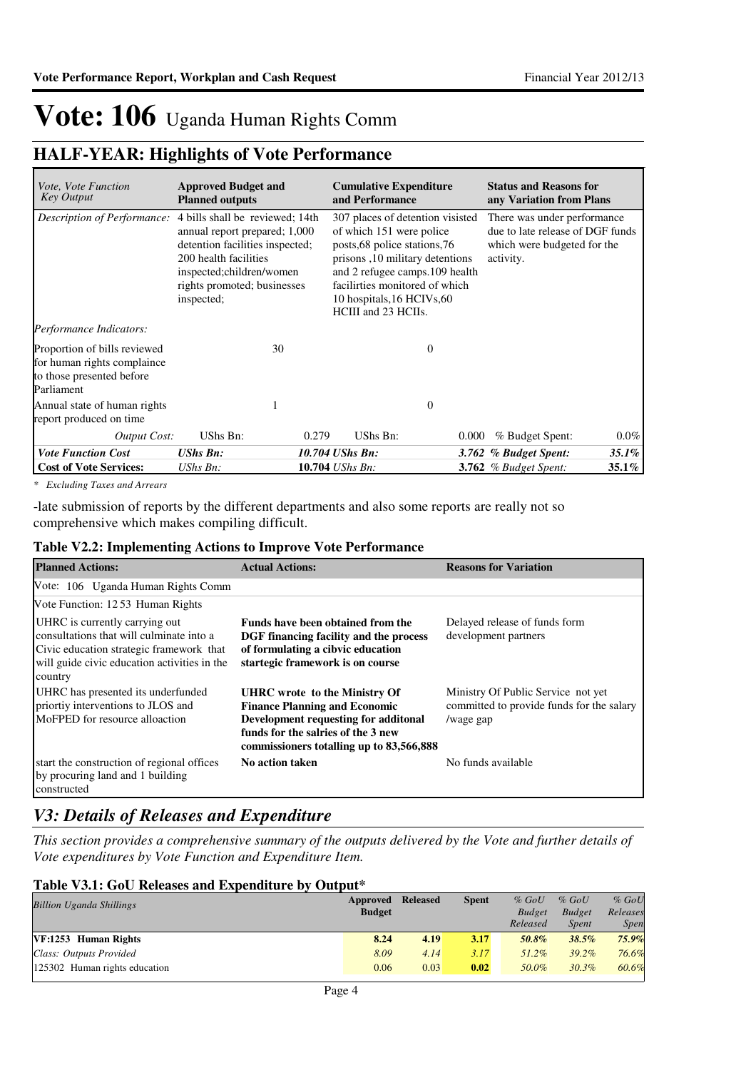### **HALF-YEAR: Highlights of Vote Performance**

| <i>Vote, Vote Function</i><br><b>Key Output</b>                                                        | <b>Approved Budget and</b><br><b>Planned outputs</b>                                                                                                                                                  |                                                                                                                                                                                                                                                            | <b>Cumulative Expenditure</b><br>and Performance |          | <b>Status and Reasons for</b><br>any Variation from Plans |         |                                                                                                             |  |
|--------------------------------------------------------------------------------------------------------|-------------------------------------------------------------------------------------------------------------------------------------------------------------------------------------------------------|------------------------------------------------------------------------------------------------------------------------------------------------------------------------------------------------------------------------------------------------------------|--------------------------------------------------|----------|-----------------------------------------------------------|---------|-------------------------------------------------------------------------------------------------------------|--|
| Description of Performance:                                                                            | 4 bills shall be reviewed; 14th<br>annual report prepared; 1,000<br>detention facilities inspected;<br>200 health facilities<br>inspected;children/women<br>rights promoted; businesses<br>inspected; | 307 places of detention visisted<br>of which 151 were police<br>posts, 68 police stations, 76<br>prisons, 10 military detentions<br>and 2 refugee camps. 109 health<br>facilirties monitored of which<br>10 hospitals, 16 HCIVs, 60<br>HCIII and 23 HCIIs. |                                                  |          |                                                           |         | There was under performance<br>due to late release of DGF funds<br>which were budgeted for the<br>activity. |  |
| Performance Indicators:                                                                                |                                                                                                                                                                                                       |                                                                                                                                                                                                                                                            |                                                  |          |                                                           |         |                                                                                                             |  |
| Proportion of bills reviewed<br>for human rights complaince<br>to those presented before<br>Parliament | 30                                                                                                                                                                                                    |                                                                                                                                                                                                                                                            |                                                  | $\theta$ |                                                           |         |                                                                                                             |  |
| Annual state of human rights<br>report produced on time                                                |                                                                                                                                                                                                       |                                                                                                                                                                                                                                                            |                                                  | $\theta$ |                                                           |         |                                                                                                             |  |
| <b>Output Cost:</b>                                                                                    | UShs Bn:                                                                                                                                                                                              | 0.279                                                                                                                                                                                                                                                      | UShs Bn:                                         | 0.000    | % Budget Spent:                                           | $0.0\%$ |                                                                                                             |  |
| <b>Vote Function Cost</b>                                                                              | <b>UShs Bn:</b>                                                                                                                                                                                       | 10.704 UShs Bn:                                                                                                                                                                                                                                            |                                                  |          | 3.762 % Budget Spent:                                     | 35.1%   |                                                                                                             |  |
| <b>Cost of Vote Services:</b>                                                                          | $UShs Bn$ :                                                                                                                                                                                           | 10.704 UShs Bn:                                                                                                                                                                                                                                            |                                                  |          | <b>3.762</b> % Budget Spent:                              | 35.1%   |                                                                                                             |  |

*\* Excluding Taxes and Arrears*

-late submission of reports by the different departments and also some reports are really not so comprehensive which makes compiling difficult.

#### **Table V2.2: Implementing Actions to Improve Vote Performance**

| <b>Planned Actions:</b>                                                                                                                                                           | <b>Actual Actions:</b>                                                                                                                                                                          | <b>Reasons for Variation</b>                                                                 |
|-----------------------------------------------------------------------------------------------------------------------------------------------------------------------------------|-------------------------------------------------------------------------------------------------------------------------------------------------------------------------------------------------|----------------------------------------------------------------------------------------------|
| Vote: 106 Uganda Human Rights Comm                                                                                                                                                |                                                                                                                                                                                                 |                                                                                              |
| Vote Function: 12.53 Human Rights                                                                                                                                                 |                                                                                                                                                                                                 |                                                                                              |
| UHRC is currently carrying out<br>consultations that will culminate into a<br>Civic education strategic framework that<br>will guide civic education activities in the<br>country | Funds have been obtained from the<br>DGF financing facility and the process<br>of formulating a cibvic education<br>startegic framework is on course                                            | Delayed release of funds form<br>development partners                                        |
| UHRC has presented its underfunded<br>priortiy interventions to JLOS and<br>MoFPED for resource alloaction                                                                        | UHRC wrote to the Ministry Of<br><b>Finance Planning and Economic</b><br>Development requesting for additonal<br>funds for the salries of the 3 new<br>commissioners totalling up to 83,566,888 | Ministry Of Public Service not yet<br>committed to provide funds for the salary<br>/wage gap |
| start the construction of regional offices<br>by procuring land and 1 building<br>constructed                                                                                     | No action taken                                                                                                                                                                                 | No funds available                                                                           |

### *V3: Details of Releases and Expenditure*

*This section provides a comprehensive summary of the outputs delivered by the Vote and further details of Vote expenditures by Vote Function and Expenditure Item.*

#### **Table V3.1: GoU Releases and Expenditure by Output\***

| <b>Billion Uganda Shillings</b> | Approved      | <b>Released</b> | <b>Spent</b> | $%$ GoU       | $%$ GoU       | $%$ GoU     |
|---------------------------------|---------------|-----------------|--------------|---------------|---------------|-------------|
|                                 | <b>Budget</b> |                 |              | <b>Budget</b> | <b>Budget</b> | Releases    |
|                                 |               |                 |              | Released      | <i>Spent</i>  | <i>Spen</i> |
| VF:1253 Human Rights            | 8.24          | 4.19            | 3.17         | 50.8%         | 38.5%         | $75.9\%$    |
| Class: Outputs Provided         | 8.09          | 4.14            | 3.17         | $51.2\%$      | $39.2\%$      | 76.6%       |
| 125302 Human rights education   | 0.06          | 0.03            | 0.02         | 50.0%         | $30.3\%$      | 60.6%       |
|                                 |               |                 |              |               |               |             |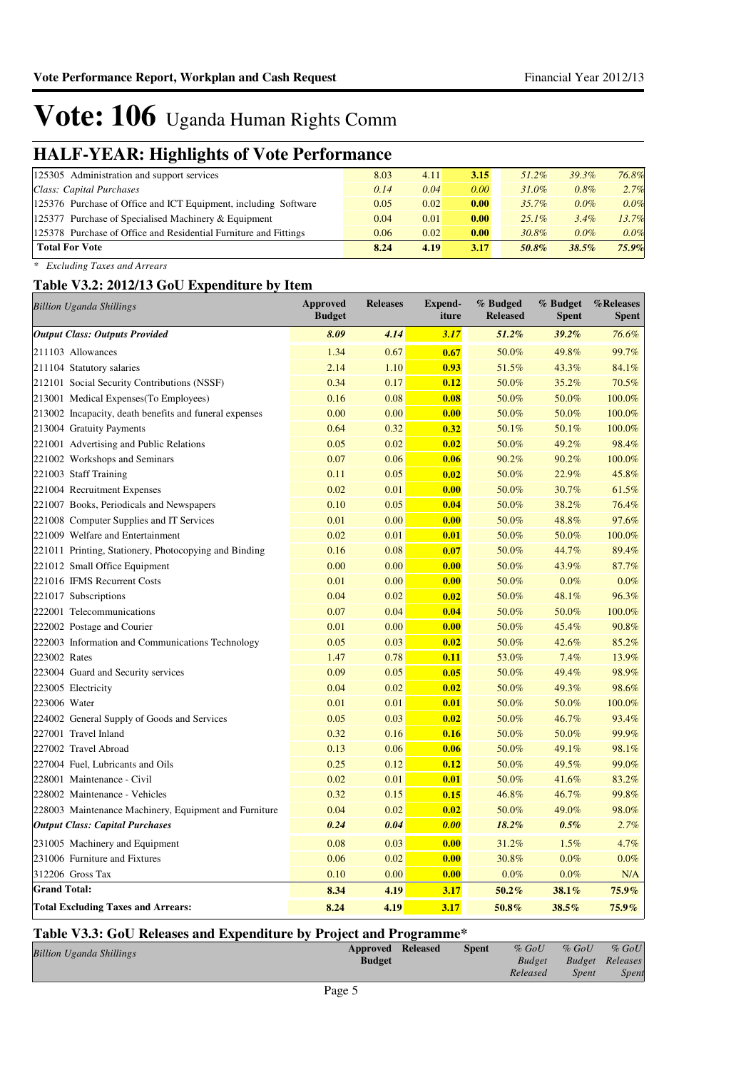## **HALF-YEAR: Highlights of Vote Performance**

| ີ<br>. .                                                         |      |      |      |          |         |       |
|------------------------------------------------------------------|------|------|------|----------|---------|-------|
| 125305 Administration and support services                       | 8.03 | 4.11 | 3.15 | $51.2\%$ | 39.3%   | 76.8% |
| Class: Capital Purchases                                         | 0.14 | 0.04 | 0.00 | $31.0\%$ | 0.8%    | 2.7%  |
| 125376 Purchase of Office and ICT Equipment, including Software  | 0.05 | 0.02 | 0.00 | $35.7\%$ | $0.0\%$ | 0.0%  |
| 125377 Purchase of Specialised Machinery & Equipment             | 0.04 | 0.01 | 0.00 | $25.1\%$ | 3.4%    | 13.7% |
| 125378 Purchase of Office and Residential Furniture and Fittings | 0.06 | 0.02 | 0.00 | 30.8%    | $0.0\%$ | 0.0%  |
| <b>Total For Vote</b>                                            | 8.24 | 4.19 | 3.17 | 50.8%    | 38.5%   | 75.9% |
|                                                                  |      |      |      |          |         |       |

*\* Excluding Taxes and Arrears*

#### **Table V3.2: 2012/13 GoU Expenditure by Item**

| <b>Billion Uganda Shillings</b>                        | <b>Approved</b><br><b>Budget</b> | <b>Releases</b> | <b>Expend-</b><br>iture | % Budged<br><b>Released</b> | % Budget<br><b>Spent</b> | %Releases<br><b>Spent</b> |
|--------------------------------------------------------|----------------------------------|-----------------|-------------------------|-----------------------------|--------------------------|---------------------------|
| <b>Output Class: Outputs Provided</b>                  | 8.09                             | 4.14            | 3.17                    | 51.2%                       | 39.2%                    | 76.6%                     |
| 211103 Allowances                                      | 1.34                             | 0.67            | 0.67                    | 50.0%                       | 49.8%                    | 99.7%                     |
| 211104 Statutory salaries                              | 2.14                             | 1.10            | 0.93                    | 51.5%                       | 43.3%                    | 84.1%                     |
| 212101 Social Security Contributions (NSSF)            | 0.34                             | 0.17            | 0.12                    | 50.0%                       | 35.2%                    | 70.5%                     |
| 213001 Medical Expenses (To Employees)                 | 0.16                             | 0.08            | 0.08                    | 50.0%                       | 50.0%                    | 100.0%                    |
| 213002 Incapacity, death benefits and funeral expenses | 0.00                             | 0.00            | 0.00                    | 50.0%                       | 50.0%                    | 100.0%                    |
| 213004 Gratuity Payments                               | 0.64                             | 0.32            | 0.32                    | 50.1%                       | 50.1%                    | 100.0%                    |
| 221001 Advertising and Public Relations                | 0.05                             | 0.02            | 0.02                    | 50.0%                       | 49.2%                    | 98.4%                     |
| 221002 Workshops and Seminars                          | 0.07                             | 0.06            | 0.06                    | 90.2%                       | 90.2%                    | 100.0%                    |
| 221003 Staff Training                                  | 0.11                             | 0.05            | 0.02                    | 50.0%                       | 22.9%                    | 45.8%                     |
| 221004 Recruitment Expenses                            | 0.02                             | 0.01            | 0.00                    | 50.0%                       | 30.7%                    | 61.5%                     |
| 221007 Books, Periodicals and Newspapers               | 0.10                             | 0.05            | 0.04                    | 50.0%                       | 38.2%                    | 76.4%                     |
| 221008 Computer Supplies and IT Services               | 0.01                             | 0.00            | 0.00                    | 50.0%                       | 48.8%                    | 97.6%                     |
| 221009 Welfare and Entertainment                       | 0.02                             | 0.01            | 0.01                    | 50.0%                       | 50.0%                    | 100.0%                    |
| 221011 Printing, Stationery, Photocopying and Binding  | 0.16                             | 0.08            | 0.07                    | 50.0%                       | 44.7%                    | 89.4%                     |
| 221012 Small Office Equipment                          | 0.00                             | 0.00            | 0.00                    | 50.0%                       | 43.9%                    | 87.7%                     |
| 221016 IFMS Recurrent Costs                            | 0.01                             | 0.00            | 0.00                    | 50.0%                       | $0.0\%$                  | 0.0%                      |
| 221017 Subscriptions                                   | 0.04                             | 0.02            | 0.02                    | 50.0%                       | 48.1%                    | 96.3%                     |
| 222001 Telecommunications                              | 0.07                             | 0.04            | 0.04                    | 50.0%                       | 50.0%                    | 100.0%                    |
| 222002 Postage and Courier                             | 0.01                             | 0.00            | 0.00                    | 50.0%                       | 45.4%                    | 90.8%                     |
| 222003 Information and Communications Technology       | 0.05                             | 0.03            | 0.02                    | 50.0%                       | 42.6%                    | 85.2%                     |
| 223002 Rates                                           | 1.47                             | 0.78            | 0.11                    | 53.0%                       | 7.4%                     | 13.9%                     |
| 223004 Guard and Security services                     | 0.09                             | 0.05            | 0.05                    | 50.0%                       | 49.4%                    | 98.9%                     |
| 223005 Electricity                                     | 0.04                             | 0.02            | 0.02                    | 50.0%                       | 49.3%                    | 98.6%                     |
| 223006 Water                                           | 0.01                             | 0.01            | 0.01                    | 50.0%                       | 50.0%                    | 100.0%                    |
| 224002 General Supply of Goods and Services            | 0.05                             | 0.03            | 0.02                    | 50.0%                       | 46.7%                    | 93.4%                     |
| 227001 Travel Inland                                   | 0.32                             | 0.16            | 0.16                    | 50.0%                       | 50.0%                    | 99.9%                     |
| 227002 Travel Abroad                                   | 0.13                             | 0.06            | 0.06                    | 50.0%                       | 49.1%                    | 98.1%                     |
| 227004 Fuel, Lubricants and Oils                       | 0.25                             | 0.12            | 0.12                    | 50.0%                       | 49.5%                    | 99.0%                     |
| 228001 Maintenance - Civil                             | 0.02                             | 0.01            | 0.01                    | 50.0%                       | 41.6%                    | 83.2%                     |
| 228002 Maintenance - Vehicles                          | 0.32                             | 0.15            | 0.15                    | 46.8%                       | 46.7%                    | 99.8%                     |
| 228003 Maintenance Machinery, Equipment and Furniture  | 0.04                             | 0.02            | 0.02                    | 50.0%                       | 49.0%                    | 98.0%                     |
| <b>Output Class: Capital Purchases</b>                 | 0.24                             | 0.04            | 0.00                    | $18.2\%$                    | 0.5%                     | 2.7%                      |
| 231005 Machinery and Equipment                         | 0.08                             | 0.03            | 0.00                    | 31.2%                       | 1.5%                     | 4.7%                      |
| 231006 Furniture and Fixtures                          | 0.06                             | 0.02            | 0.00                    | 30.8%                       | 0.0%                     | 0.0%                      |
| 312206 Gross Tax                                       | 0.10                             | 0.00            | 0.00                    | 0.0%                        | $0.0\%$                  | N/A                       |
| <b>Grand Total:</b>                                    | 8.34                             | 4.19            | 3.17                    | 50.2%                       | 38.1%                    | 75.9%                     |
| <b>Total Excluding Taxes and Arrears:</b>              | 8.24                             | 4.19            | 3.17                    | 50.8%                       | 38.5%                    | $75.9\%$                  |

#### **Table V3.3: GoU Releases and Expenditure by Project and Programme\***

| <b>Billion Uganda Shillings</b> | <b>Approved Released</b> | <b>Spent</b> | $%$ GoU       | $%$ GoU | $%$ GoU                |
|---------------------------------|--------------------------|--------------|---------------|---------|------------------------|
|                                 | <b>Budget</b>            |              | <b>Budget</b> |         | <b>Budget</b> Releases |
|                                 |                          |              | Released      | Spent   | Spent                  |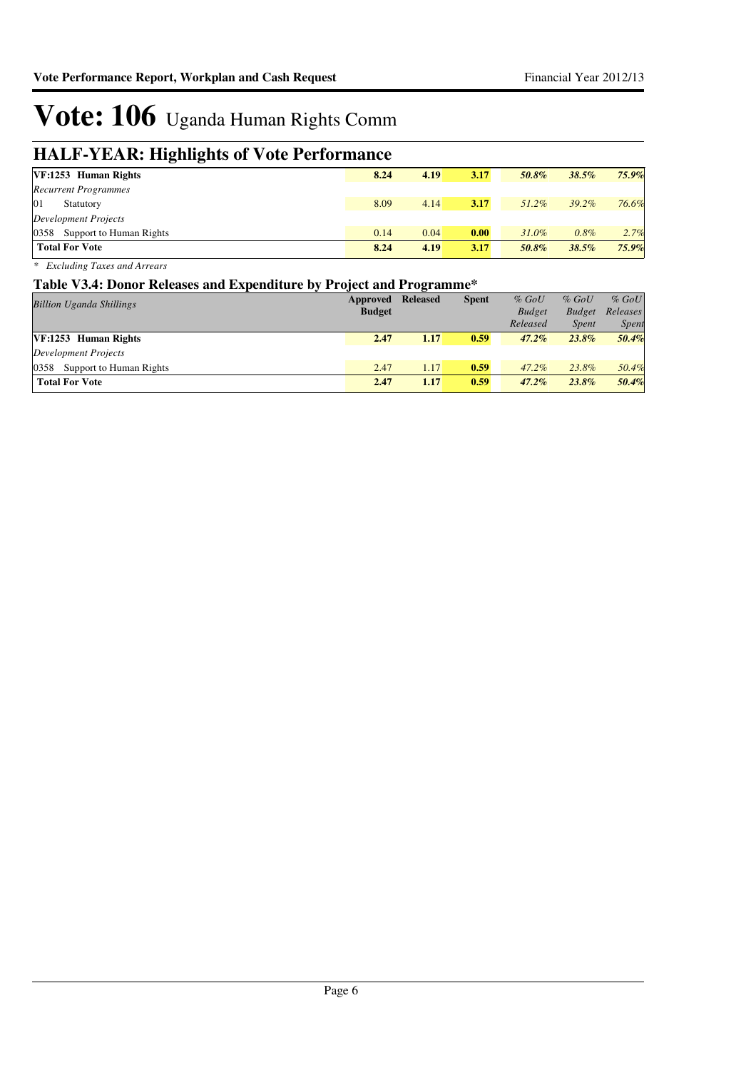## **HALF-YEAR: Highlights of Vote Performance**

| ິ<br>. .                     |      |      |      |          |          |          |
|------------------------------|------|------|------|----------|----------|----------|
| VF:1253 Human Rights         | 8.24 | 4.19 | 3.17 | 50.8%    | 38.5%    | $75.9\%$ |
| <b>Recurrent Programmes</b>  |      |      |      |          |          |          |
| 01<br>Statutory              | 8.09 | 4.14 | 3.17 | 51.2%    | $39.2\%$ | 76.6%    |
| Development Projects         |      |      |      |          |          |          |
| 0358 Support to Human Rights | 0.14 | 0.04 | 0.00 | $31.0\%$ | 0.8%     | 2.7%     |
| <b>Total For Vote</b>        | 8.24 | 4.19 | 3.17 | 50.8%    | 38.5%    | 75.9%    |

*\* Excluding Taxes and Arrears*

#### **Table V3.4: Donor Releases and Expenditure by Project and Programme\***

| <b>Billion Uganda Shillings</b> | Approved      | <b>Released</b> | <b>Spent</b> | $%$ GoU       | $%$ GoU       | $%$ GoU      |
|---------------------------------|---------------|-----------------|--------------|---------------|---------------|--------------|
|                                 | <b>Budget</b> |                 |              | <b>Budget</b> | <b>Budget</b> | Releases     |
|                                 |               |                 |              | Released      | <i>Spent</i>  | <b>Spent</b> |
| VF:1253 Human Rights            | 2.47          | 1.17            | 0.59         | $47.2\%$      | $23.8\%$      | 50.4%        |
| Development Projects            |               |                 |              |               |               |              |
| 0358<br>Support to Human Rights | 2.47          | 1.17            | 0.59         | $47.2\%$      | 23.8%         | 50.4%        |
| <b>Total For Vote</b>           | 2.47          | 1.17            | 0.59         | $47.2\%$      | $23.8\%$      | 50.4%        |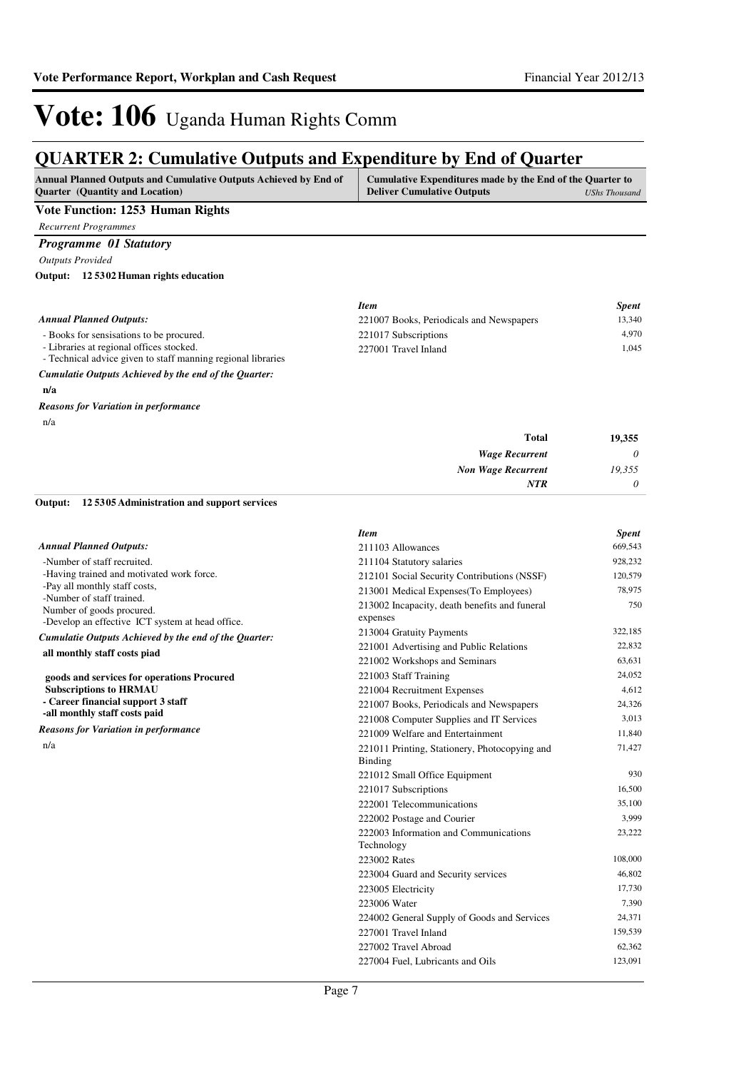### **QUARTER 2: Cumulative Outputs and Expenditure by End of Quarter**

| <b>Annual Planned Outputs and Cumulative Outputs Achieved by End of</b><br><b>Ouarter</b> (Quantity and Location) | Cumulative Expenditures made by the End of the Quarter to<br><b>Deliver Cumulative Outputs</b><br>UShs Thousand |
|-------------------------------------------------------------------------------------------------------------------|-----------------------------------------------------------------------------------------------------------------|
| Voto Function, 1953. Humon Dights                                                                                 |                                                                                                                 |

#### **Vote Function: 1253 Human Rights**

*Recurrent Programmes*

### *Programme 01 Statutory*

*Outputs Provided*

**12 5302 Human rights education Output:**

|                                                                                                          | <b>Item</b>                              | <b>Spent</b> |
|----------------------------------------------------------------------------------------------------------|------------------------------------------|--------------|
| <b>Annual Planned Outputs:</b>                                                                           | 221007 Books, Periodicals and Newspapers | 13.340       |
| - Books for sensisations to be procured.                                                                 | 221017 Subscriptions                     | 4.970        |
| - Libraries at regional offices stocked.<br>- Technical advice given to staff manning regional libraries | 227001 Travel Inland                     | 1.045        |
| Cumulatie Outputs Achieved by the end of the Quarter:                                                    |                                          |              |

**n/a**

#### n/a *Reasons for Variation in performance*

| 19,355   | <b>Total</b>              |
|----------|---------------------------|
| $\theta$ | <b>Wage Recurrent</b>     |
| 19,355   | <b>Non Wage Recurrent</b> |
| $\theta$ | <b>NTR</b>                |

**12 5305 Administration and support services Output:**

|                                                            | <b>Item</b>                                   | <b>Spent</b> |
|------------------------------------------------------------|-----------------------------------------------|--------------|
| <b>Annual Planned Outputs:</b>                             | 211103 Allowances                             | 669,543      |
| -Number of staff recruited.                                | 211104 Statutory salaries                     | 928,232      |
| -Having trained and motivated work force.                  | 212101 Social Security Contributions (NSSF)   | 120,579      |
| -Pay all monthly staff costs,<br>-Number of staff trained. | 213001 Medical Expenses (To Employees)        | 78,975       |
| Number of goods procured.                                  | 213002 Incapacity, death benefits and funeral | 750          |
| -Develop an effective ICT system at head office.           | expenses                                      |              |
| Cumulatie Outputs Achieved by the end of the Quarter:      | 213004 Gratuity Payments                      | 322.185      |
| all monthly staff costs piad                               | 221001 Advertising and Public Relations       | 22,832       |
|                                                            | 221002 Workshops and Seminars                 | 63.631       |
| goods and services for operations Procured                 | 221003 Staff Training                         | 24,052       |
| <b>Subscriptions to HRMAU</b>                              | 221004 Recruitment Expenses                   | 4,612        |
| - Career financial support 3 staff                         | 221007 Books, Periodicals and Newspapers      | 24,326       |
| -all monthly staff costs paid                              | 221008 Computer Supplies and IT Services      | 3,013        |
| <b>Reasons for Variation in performance</b>                | 221009 Welfare and Entertainment              | 11,840       |
| n/a                                                        | 221011 Printing, Stationery, Photocopying and | 71,427       |
|                                                            | <b>Binding</b>                                |              |
|                                                            | 221012 Small Office Equipment                 | 930          |
|                                                            | 221017 Subscriptions                          | 16,500       |
|                                                            | 222001 Telecommunications                     | 35,100       |
|                                                            | 222002 Postage and Courier                    | 3,999        |
|                                                            | 222003 Information and Communications         | 23,222       |
|                                                            | Technology                                    |              |
|                                                            | 223002 Rates                                  | 108,000      |
|                                                            | 223004 Guard and Security services            | 46,802       |
|                                                            | 223005 Electricity                            | 17,730       |
|                                                            | 223006 Water                                  | 7,390        |
|                                                            | 224002 General Supply of Goods and Services   | 24,371       |
|                                                            | 227001 Travel Inland                          | 159,539      |
|                                                            | 227002 Travel Abroad                          | 62,362       |
|                                                            | 227004 Fuel, Lubricants and Oils              | 123,091      |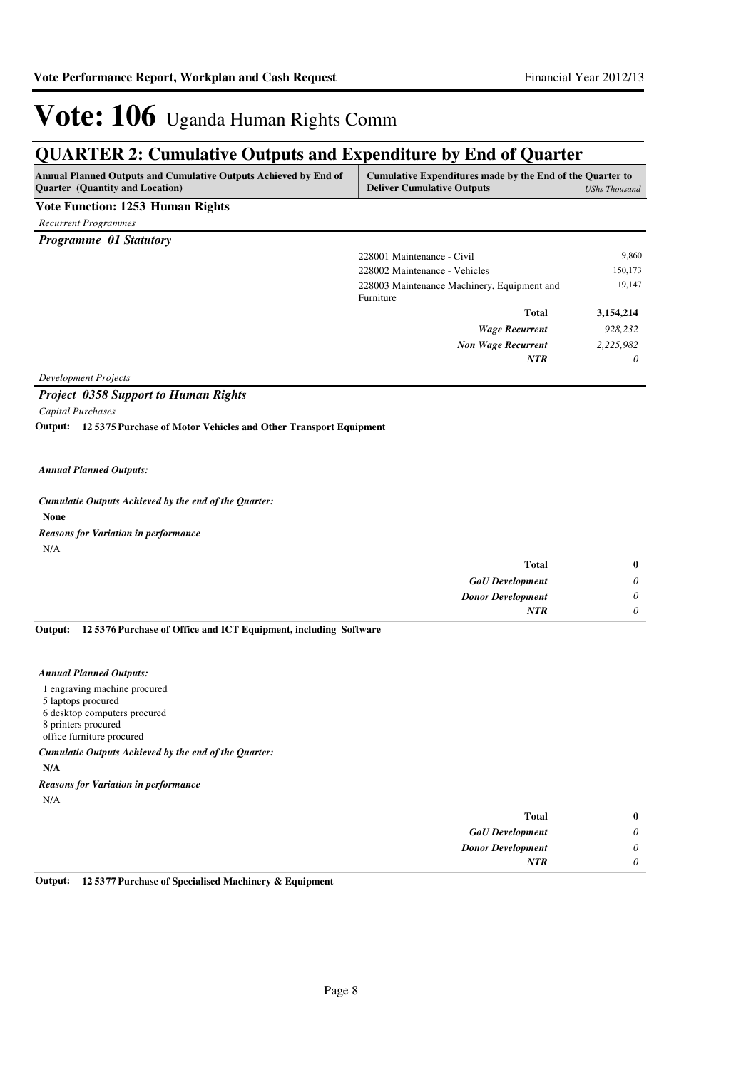### **QUARTER 2: Cumulative Outputs and Expenditure by End of Quarter**

| <b>Annual Planned Outputs and Cumulative Outputs Achieved by End of</b><br><b>Ouarter</b> (Quantity and Location) | Cumulative Expenditures made by the End of the Quarter to<br><b>Deliver Cumulative Outputs</b> | UShs Thousand |
|-------------------------------------------------------------------------------------------------------------------|------------------------------------------------------------------------------------------------|---------------|
| Vote Function: 1253 Human Rights                                                                                  |                                                                                                |               |
| <b>Recurrent Programmes</b>                                                                                       |                                                                                                |               |
| <b>Programme 01 Statutory</b>                                                                                     |                                                                                                |               |
|                                                                                                                   | 228001 Maintenance - Civil                                                                     | 9,860         |
|                                                                                                                   | 228002 Maintenance - Vehicles                                                                  | 150,173       |
|                                                                                                                   | 228003 Maintenance Machinery, Equipment and<br>Furniture                                       | 19,147        |
|                                                                                                                   | <b>Total</b>                                                                                   | 3,154,214     |
|                                                                                                                   | <b>Wage Recurrent</b>                                                                          | 928,232       |
|                                                                                                                   | <b>Non Wage Recurrent</b>                                                                      | 2,225,982     |
|                                                                                                                   | <b>NTR</b>                                                                                     | 0             |

#### *Project 0358 Support to Human Rights*

*Capital Purchases*

**12 5375 Purchase of Motor Vehicles and Other Transport Equipment Output:**

#### *Annual Planned Outputs:*

**None** *Cumulatie Outputs Achieved by the end of the Quarter:*

*Reasons for Variation in performance*

N/A

| $\bf{0}$ | <b>Total</b>             |
|----------|--------------------------|
| $\theta$ | <b>GoU</b> Development   |
| U        | <b>Donor Development</b> |
|          | <b>NTR</b>               |
|          |                          |

**12 5376 Purchase of Office and ICT Equipment, including Software Output:**

#### *Annual Planned Outputs:*

- 1 engraving machine procured
- 5 laptops procured
- 6 desktop computers procured
- 8 printers procured
- office furniture procured

*Cumulatie Outputs Achieved by the end of the Quarter:*

- **N/A**
- *Reasons for Variation in performance*

| × |
|---|
|---|

| $\bf{0}$ | Total                    |
|----------|--------------------------|
| 0        | <b>GoU</b> Development   |
| $\theta$ | <b>Donor Development</b> |
|          | <b>NTR</b>               |
|          |                          |

**Output: 12 5377 Purchase of Specialised Machinery & Equipment**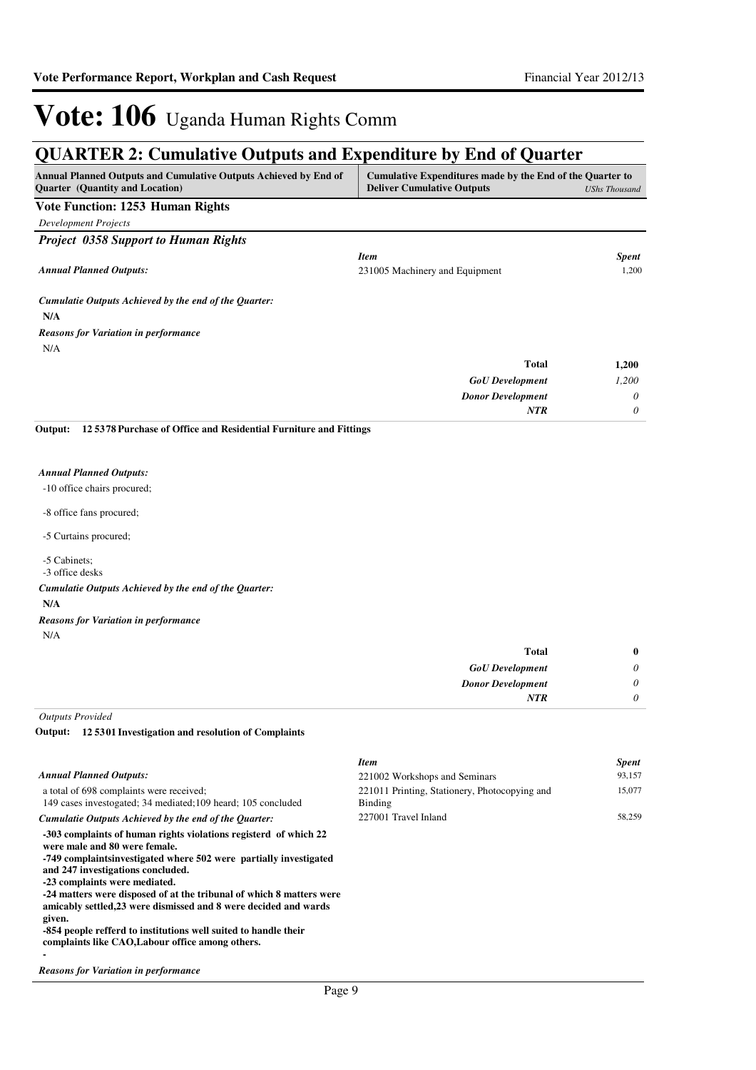## **QUARTER 2: Cumulative Outputs and Expenditure by End of Quarter**

| Cumulative Expenditures made by the End of the Quarter to<br><b>UShs Thousand</b> |
|-----------------------------------------------------------------------------------|
|                                                                                   |
|                                                                                   |
|                                                                                   |
| <b>Spent</b>                                                                      |
| 1,200                                                                             |
|                                                                                   |
|                                                                                   |
|                                                                                   |
| 1,200                                                                             |
| 1,200                                                                             |
| 0                                                                                 |
| $\theta$                                                                          |
|                                                                                   |

#### *Annual Planned Outputs:*

- -10 office chairs procured;
- -8 office fans procured;
- -5 Curtains procured;
- -5 Cabinets;
- -3 office desks
- *Cumulatie Outputs Achieved by the end of the Quarter:*
- **N/A**
- *Reasons for Variation in performance*
- N/A

**-**

| <b>Total</b>             |          |
|--------------------------|----------|
| <b>GoU</b> Development   | 0        |
| <b>Donor Development</b> | $\theta$ |
| NTR                      | 0        |

*Outputs Provided*

#### **12 5301 Investigation and resolution of Complaints Output:**

|                                                                                                                                                                                                                                                                                                                                                                                                                                                                                                                            | <b>Item</b>                                                     | <b>Spent</b> |
|----------------------------------------------------------------------------------------------------------------------------------------------------------------------------------------------------------------------------------------------------------------------------------------------------------------------------------------------------------------------------------------------------------------------------------------------------------------------------------------------------------------------------|-----------------------------------------------------------------|--------------|
| <b>Annual Planned Outputs:</b>                                                                                                                                                                                                                                                                                                                                                                                                                                                                                             | 221002 Workshops and Seminars                                   | 93,157       |
| a total of 698 complaints were received;<br>149 cases investogated; 34 mediated; 109 heard; 105 concluded                                                                                                                                                                                                                                                                                                                                                                                                                  | 221011 Printing, Stationery, Photocopying and<br><b>Binding</b> | 15,077       |
| Cumulatie Outputs Achieved by the end of the Ouarter:                                                                                                                                                                                                                                                                                                                                                                                                                                                                      | 227001 Travel Inland                                            | 58,259       |
| -303 complaints of human rights violations registerd of which 22<br>were male and 80 were female.<br>-749 complaints investigated where 502 were partially investigated<br>and 247 investigations concluded.<br>-23 complaints were mediated.<br>-24 matters were disposed of at the tribunal of which 8 matters were<br>amicably settled, 23 were dismissed and 8 were decided and wards<br>given.<br>-854 people refferd to institutions well suited to handle their<br>complaints like CAO, Labour office among others. |                                                                 |              |

#### *Reasons for Variation in performance*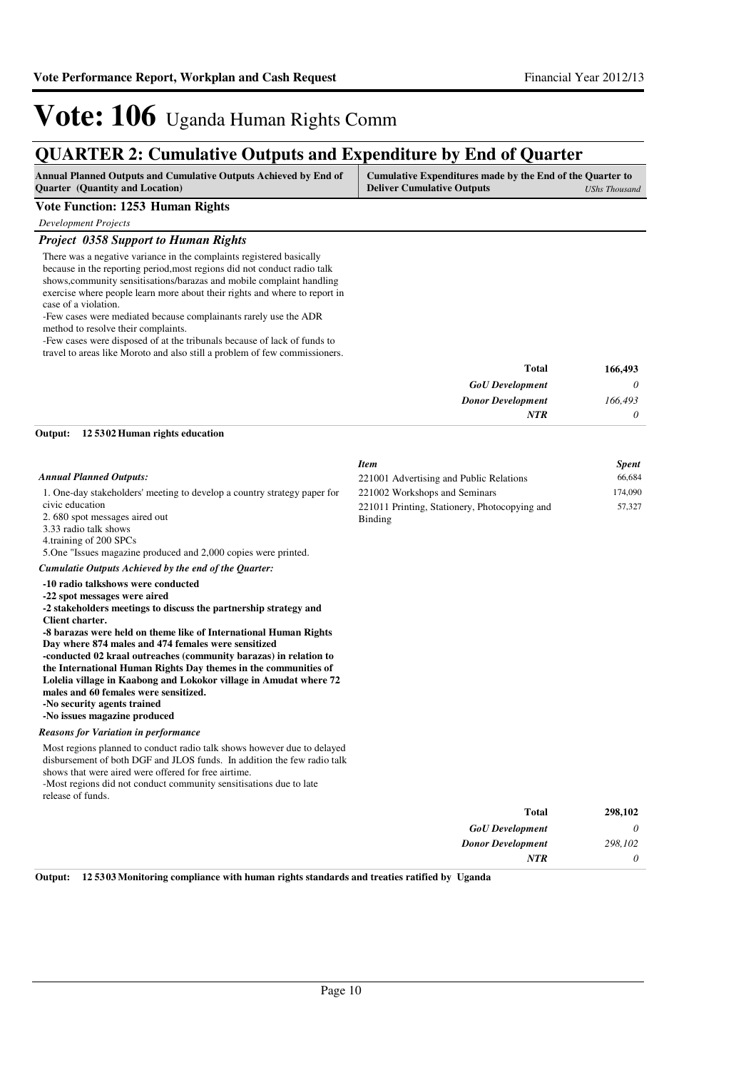57,327

*Item Spent* 221001 Advertising and Public Relations 66,684 221002 Workshops and Seminars 174,090

221011 Printing, Stationery, Photocopying and

# Vote: 106 Uganda Human Rights Comm

### **QUARTER 2: Cumulative Outputs and Expenditure by End of Quarter**

| <b>Annual Planned Outputs and Cumulative Outputs Achieved by End of</b> | Cumulative Expenditures made by the End of the Quarter to |               |
|-------------------------------------------------------------------------|-----------------------------------------------------------|---------------|
| <b>Ouarter</b> (Quantity and Location)                                  | <b>Deliver Cumulative Outputs</b>                         | UShs Thousand |

#### **Vote Function: 1253 Human Rights**

*Development Projects*

#### *Project 0358 Support to Human Rights*

There was a negative variance in the complaints registered basically because in the reporting period,most regions did not conduct radio talk shows,community sensitisations/barazas and mobile complaint handling exercise where people learn more about their rights and where to report in case of a violation.

-Few cases were mediated because complainants rarely use the ADR method to resolve their complaints.

-Few cases were disposed of at the tribunals because of lack of funds to travel to areas like Moroto and also still a problem of few commissioners.

| 166,493 | <b>Total</b>             |
|---------|--------------------------|
| 0       | <b>GoU</b> Development   |
| 166,493 | <b>Donor Development</b> |
| 0       | <b>NTR</b>               |
|         |                          |

Binding

#### *Annual Planned Outputs:*

1. One-day stakeholders' meeting to develop a country strategy paper for civic education

2. 680 spot messages aired out

3.33 radio talk shows

4.training of 200 SPCs

5.One "Issues magazine produced and 2,000 copies were printed.

#### *Cumulatie Outputs Achieved by the end of the Quarter:*

#### **-10 radio talkshows were conducted**

**12 5302 Human rights education Output:**

**-22 spot messages were aired -2 stakeholders meetings to discuss the partnership strategy and** 

**Client charter.**

**-8 barazas were held on theme like of International Human Rights Day where 874 males and 474 females were sensitized**

**-conducted 02 kraal outreaches (community barazas) in relation to the International Human Rights Day themes in the communities of Lolelia village in Kaabong and Lokokor village in Amudat where 72 males and 60 females were sensitized.**

**-No security agents trained**

**-No issues magazine produced**

#### *Reasons for Variation in performance*

Most regions planned to conduct radio talk shows however due to delayed disbursement of both DGF and JLOS funds. In addition the few radio talk shows that were aired were offered for free airtime.

-Most regions did not conduct community sensitisations due to late release of funds.

| 298,102 | <b>Total</b>             |
|---------|--------------------------|
|         | <b>GoU</b> Development   |
| 298,102 | <b>Donor Development</b> |
|         | NTR                      |

**Output: 12 5303 Monitoring compliance with human rights standards and treaties ratified by Uganda**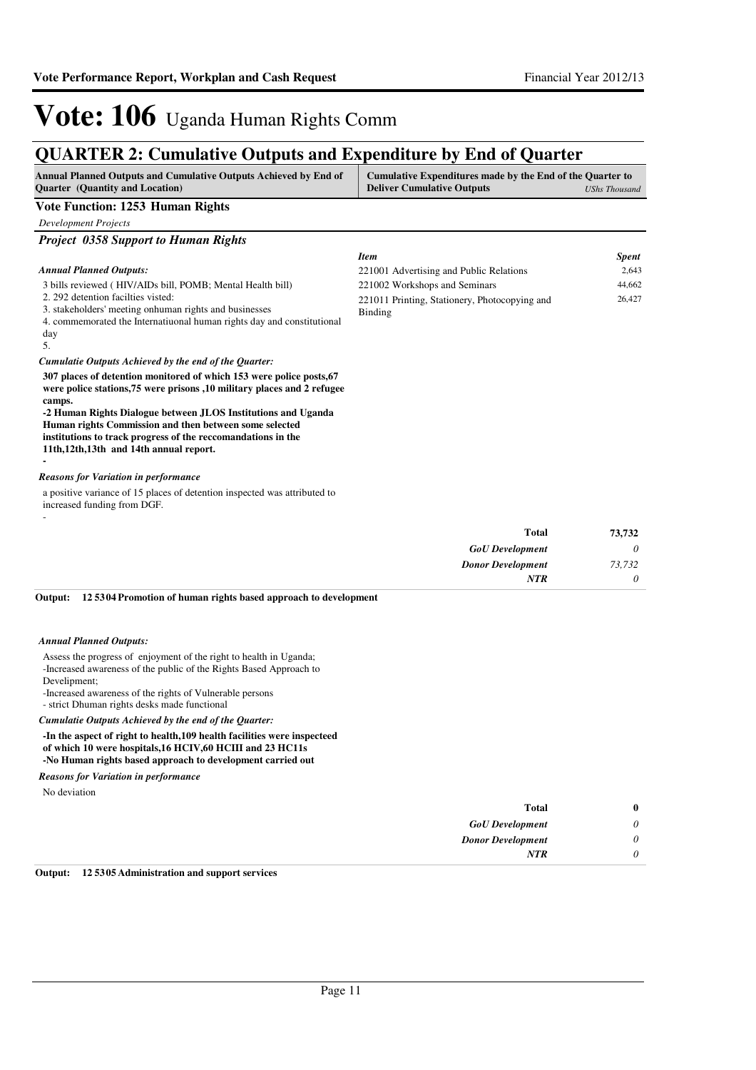*Item Spent*

# Vote: 106 Uganda Human Rights Comm

### **QUARTER 2: Cumulative Outputs and Expenditure by End of Quarter**

| <b>Annual Planned Outputs and Cumulative Outputs Achieved by End of</b> | Cumulative Expenditures made by the End of the Quarter to |               |
|-------------------------------------------------------------------------|-----------------------------------------------------------|---------------|
| <b>Ouarter</b> (Quantity and Location)                                  | <b>Deliver Cumulative Outputs</b>                         | UShs Thousand |

#### **Vote Function: 1253 Human Rights**

*Development Projects*

#### *Project 0358 Support to Human Rights*

#### *Annual Planned Outputs:*

| Annual Planned Outputs:                                                                                                                       | 221001 Advertising and Public Relations       | 2.643  |
|-----------------------------------------------------------------------------------------------------------------------------------------------|-----------------------------------------------|--------|
| 3 bills reviewed (HIV/AIDs bill, POMB; Mental Health bill)                                                                                    | 221002 Workshops and Seminars                 | 44,662 |
| 2. 292 detention facilities visted:                                                                                                           | 221011 Printing, Stationery, Photocopying and | 26,427 |
| 3. stakeholders' meeting on human rights and businesses                                                                                       | Binding                                       |        |
| 4. commemorated the International human rights day and constitutional                                                                         |                                               |        |
| day                                                                                                                                           |                                               |        |
| -5.                                                                                                                                           |                                               |        |
| Cumulatie Outputs Achieved by the end of the Ouarter:                                                                                         |                                               |        |
| 307 places of detention monitored of which 153 were police posts, 67<br>were police stations 75 were prisons 10 military places and 2 refugee |                                               |        |

**were police stations,75 were prisons ,10 military places and 2 refugee camps.**

**-2 Human Rights Dialogue between JLOS Institutions and Uganda Human rights Commission and then between some selected institutions to track progress of the reccomandations in the 11th,12th,13th and 14th annual report. -**

#### *Reasons for Variation in performance*

a positive variance of 15 places of detention inspected was attributed to increased funding from DGF. -

| 73,732   | <b>Total</b>             |
|----------|--------------------------|
| 0        | <b>GoU</b> Development   |
| 73,732   | <b>Donor Development</b> |
| $\theta$ | <b>NTR</b>               |
|          |                          |

#### **12 5304 Promotion of human rights based approach to development Output:**

#### *Annual Planned Outputs:*

Assess the progress of enjoyment of the right to health in Uganda; -Increased awareness of the public of the Rights Based Approach to Develipment;

-Increased awareness of the rights of Vulnerable persons

- strict Dhuman rights desks made functional

*Cumulatie Outputs Achieved by the end of the Quarter:*

#### **-In the aspect of right to health,109 health facilities were inspecteed of which 10 were hospitals,16 HCIV,60 HCIII and 23 HC11s -No Human rights based approach to development carried out**

*Reasons for Variation in performance*

No deviation

| $\bf{0}$ | <b>Total</b>             |
|----------|--------------------------|
| $\theta$ | <b>GoU</b> Development   |
| $\theta$ | <b>Donor Development</b> |
| 0        | <b>NTR</b>               |
|          |                          |

**Output: 12 5305 Administration and support services**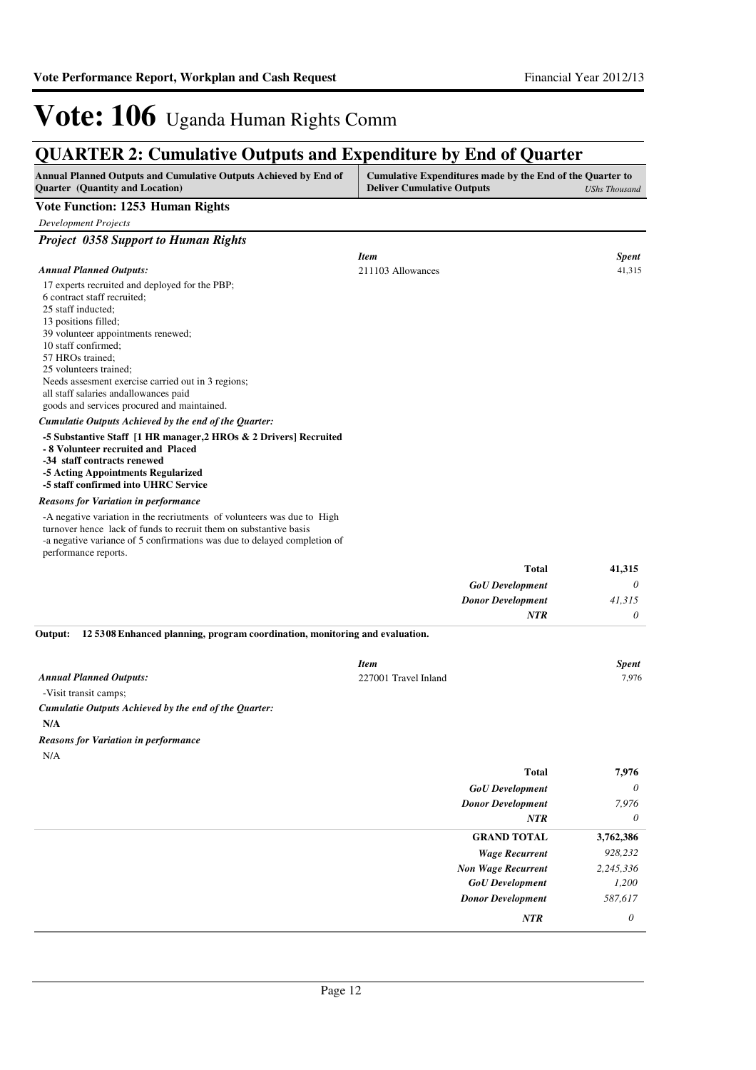### **QUARTER 2: Cumulative Outputs and Expenditure by End of Quarter**

| Annual Planned Outputs and Cumulative Outputs Achieved by End of<br><b>Ouarter</b> (Quantity and Location)                                                                                                                                                                                                                                                                            | Cumulative Expenditures made by the End of the Quarter to<br><b>Deliver Cumulative Outputs</b> | <b>UShs Thousand</b> |
|---------------------------------------------------------------------------------------------------------------------------------------------------------------------------------------------------------------------------------------------------------------------------------------------------------------------------------------------------------------------------------------|------------------------------------------------------------------------------------------------|----------------------|
| <b>Vote Function: 1253 Human Rights</b>                                                                                                                                                                                                                                                                                                                                               |                                                                                                |                      |
| <b>Development Projects</b>                                                                                                                                                                                                                                                                                                                                                           |                                                                                                |                      |
| <b>Project 0358 Support to Human Rights</b>                                                                                                                                                                                                                                                                                                                                           |                                                                                                |                      |
|                                                                                                                                                                                                                                                                                                                                                                                       | <b>Item</b>                                                                                    | <b>Spent</b>         |
| <b>Annual Planned Outputs:</b>                                                                                                                                                                                                                                                                                                                                                        | 211103 Allowances                                                                              | 41,315               |
| 17 experts recruited and deployed for the PBP;<br>6 contract staff recruited;<br>25 staff inducted:<br>13 positions filled;<br>39 volunteer appointments renewed;<br>10 staff confirmed;<br>57 HROs trained:<br>25 volunteers trained;<br>Needs assesment exercise carried out in 3 regions;<br>all staff salaries and allowances paid<br>goods and services procured and maintained. |                                                                                                |                      |
| Cumulatie Outputs Achieved by the end of the Quarter:                                                                                                                                                                                                                                                                                                                                 |                                                                                                |                      |
| -5 Substantive Staff [1 HR manager, 2 HROs & 2 Drivers] Recruited<br>- 8 Volunteer recruited and Placed<br>-34 staff contracts renewed<br>-5 Acting Appointments Regularized<br>-5 staff confirmed into UHRC Service                                                                                                                                                                  |                                                                                                |                      |
| <b>Reasons for Variation in performance</b>                                                                                                                                                                                                                                                                                                                                           |                                                                                                |                      |
| -A negative variation in the recriutments of volunteers was due to High<br>turnover hence lack of funds to recruit them on substantive basis<br>-a negative variance of 5 confirmations was due to delayed completion of<br>performance reports.                                                                                                                                      |                                                                                                |                      |
|                                                                                                                                                                                                                                                                                                                                                                                       | <b>Total</b>                                                                                   | 41,315               |
|                                                                                                                                                                                                                                                                                                                                                                                       | <b>GoU</b> Development                                                                         | 0                    |
|                                                                                                                                                                                                                                                                                                                                                                                       | <b>Donor Development</b>                                                                       | 41.315               |
|                                                                                                                                                                                                                                                                                                                                                                                       | <b>NTR</b>                                                                                     | 0                    |

|                                | Item                 | <b>Spent</b> |
|--------------------------------|----------------------|--------------|
| <b>Annual Planned Outputs:</b> | 227001 Travel Inland | 7.976        |
|                                |                      |              |

-Visit transit camps; *Cumulatie Outputs Achieved by the end of the Quarter:*

**N/A**

N/A *Reasons for Variation in performance*

| <b>Total</b>              | 7,976     |
|---------------------------|-----------|
| <b>GoU</b> Development    | $\theta$  |
| <b>Donor Development</b>  | 7,976     |
| <b>NTR</b>                | $\theta$  |
| <b>GRAND TOTAL</b>        | 3,762,386 |
| <b>Wage Recurrent</b>     | 928,232   |
| <b>Non Wage Recurrent</b> | 2,245,336 |
| <b>GoU</b> Development    | 1,200     |
| <b>Donor Development</b>  | 587,617   |
| NTR                       | 0         |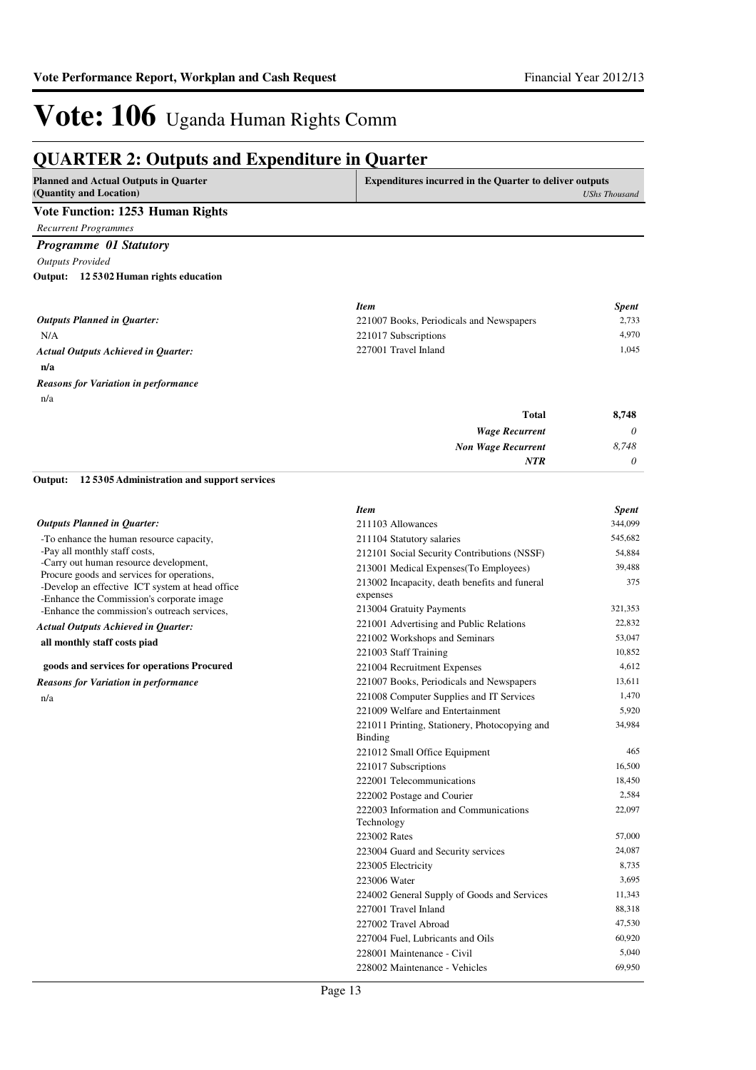### **QUARTER 2: Outputs and Expenditure in Quarter**

| <b>Planned and Actual Outputs in Quarter</b>                                         | <b>Expenditures incurred in the Quarter to deliver outputs</b>           |                      |
|--------------------------------------------------------------------------------------|--------------------------------------------------------------------------|----------------------|
| (Quantity and Location)                                                              |                                                                          | <b>UShs Thousand</b> |
| <b>Vote Function: 1253 Human Rights</b>                                              |                                                                          |                      |
| <b>Recurrent Programmes</b>                                                          |                                                                          |                      |
| <b>Programme 01 Statutory</b>                                                        |                                                                          |                      |
| <b>Outputs Provided</b>                                                              |                                                                          |                      |
| Output: 12 5302 Human rights education                                               |                                                                          |                      |
|                                                                                      |                                                                          |                      |
|                                                                                      | <b>Item</b>                                                              | <b>Spent</b>         |
| <b>Outputs Planned in Quarter:</b>                                                   | 221007 Books, Periodicals and Newspapers                                 | 2,733                |
| N/A                                                                                  | 221017 Subscriptions                                                     | 4,970                |
| <b>Actual Outputs Achieved in Quarter:</b>                                           | 227001 Travel Inland                                                     | 1,045                |
| n/a                                                                                  |                                                                          |                      |
| <b>Reasons for Variation in performance</b>                                          |                                                                          |                      |
| n/a                                                                                  |                                                                          |                      |
|                                                                                      | <b>Total</b>                                                             | 8,748                |
|                                                                                      | <b>Wage Recurrent</b>                                                    | 0                    |
|                                                                                      | <b>Non Wage Recurrent</b>                                                | 8,748                |
|                                                                                      | <b>NTR</b>                                                               | 0                    |
| Output:<br>125305 Administration and support services                                |                                                                          |                      |
|                                                                                      | <b>Item</b>                                                              | <b>Spent</b>         |
| <b>Outputs Planned in Quarter:</b>                                                   | 211103 Allowances                                                        | 344,099              |
| -To enhance the human resource capacity,                                             | 211104 Statutory salaries                                                | 545,682              |
| -Pay all monthly staff costs,                                                        | 212101 Social Security Contributions (NSSF)                              | 54,884               |
| -Carry out human resource development,<br>Procure goods and services for operations, | 213001 Medical Expenses(To Employees)                                    | 39,488               |
| -Develop an effective ICT system at head office                                      | 213002 Incapacity, death benefits and funeral                            | 375                  |
| -Enhance the Commission's corporate image                                            | expenses                                                                 |                      |
| -Enhance the commission's outreach services,                                         | 213004 Gratuity Payments                                                 | 321,353<br>22,832    |
| <b>Actual Outputs Achieved in Quarter:</b>                                           | 221001 Advertising and Public Relations<br>221002 Workshops and Seminars | 53,047               |
| all monthly staff costs piad                                                         | 221003 Staff Training                                                    | 10,852               |
| goods and services for operations Procured                                           | 221004 Recruitment Expenses                                              | 4,612                |
| <b>Reasons for Variation in performance</b>                                          | 221007 Books, Periodicals and Newspapers                                 | 13,611               |
| n/a                                                                                  | 221008 Computer Supplies and IT Services                                 | 1,470                |
|                                                                                      | 221009 Welfare and Entertainment                                         | 5,920                |
|                                                                                      | 221011 Printing, Stationery, Photocopying and                            | 34,984               |
|                                                                                      | Binding                                                                  |                      |
|                                                                                      | 221012 Small Office Equipment                                            | 465                  |
|                                                                                      | 221017 Subscriptions                                                     | 16,500               |
|                                                                                      | 222001 Telecommunications                                                | 18,450               |
|                                                                                      | 222002 Postage and Courier                                               | 2,584                |
|                                                                                      | 222003 Information and Communications<br>Technology                      | 22,097               |
|                                                                                      | 223002 Rates                                                             | 57,000               |
|                                                                                      | 223004 Guard and Security services                                       | 24,087               |
|                                                                                      | 223005 Electricity                                                       | 8,735                |
|                                                                                      | 223006 Water                                                             | 3,695                |
|                                                                                      | 224002 General Supply of Goods and Services                              | 11,343               |
|                                                                                      | 227001 Travel Inland                                                     | 88,318               |
|                                                                                      | 227002 Travel Abroad                                                     | 47,530               |

227004 Fuel, Lubricants and Oils 60,920 228001 Maintenance - Civil 5,040 228002 Maintenance - Vehicles 69,950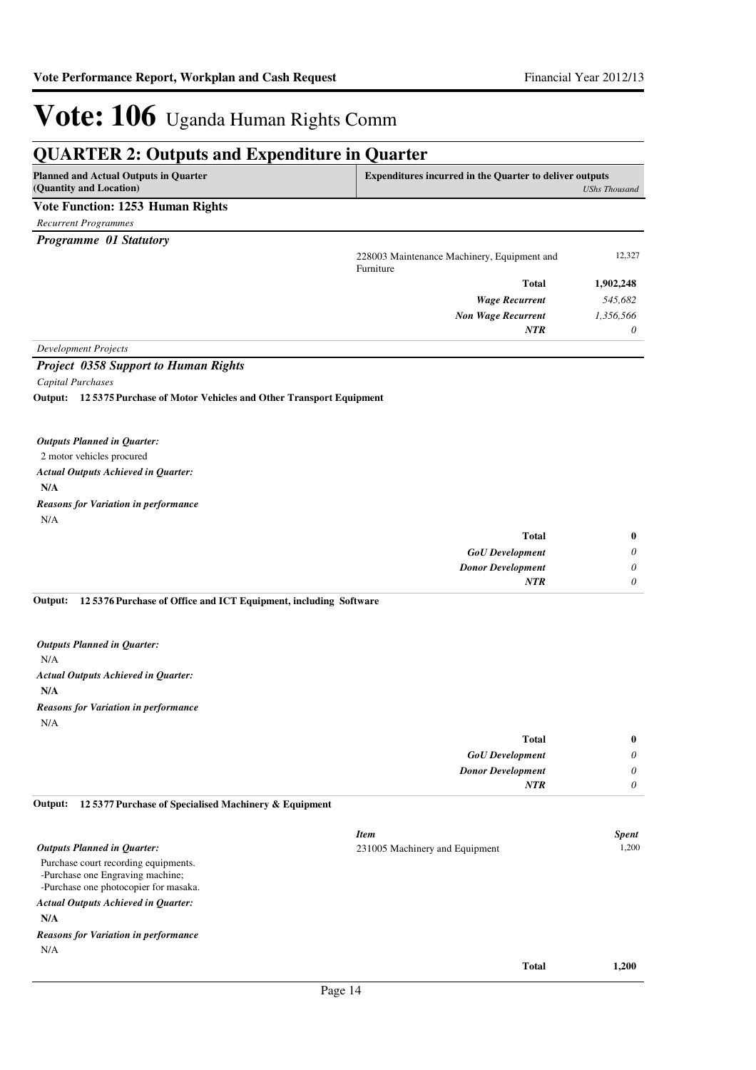### **QUARTER 2: Outputs and Expenditure in Quarter**

| <b>Planned and Actual Outputs in Quarter</b><br>(Quantity and Location)    | Expenditures incurred in the Quarter to deliver outputs  | <b>UShs Thousand</b> |
|----------------------------------------------------------------------------|----------------------------------------------------------|----------------------|
| <b>Vote Function: 1253 Human Rights</b>                                    |                                                          |                      |
| <b>Recurrent Programmes</b>                                                |                                                          |                      |
| Programme 01 Statutory                                                     |                                                          |                      |
|                                                                            | 228003 Maintenance Machinery, Equipment and<br>Furniture | 12,327               |
|                                                                            | <b>Total</b>                                             | 1,902,248            |
|                                                                            | <b>Wage Recurrent</b>                                    | 545,682              |
|                                                                            | <b>Non Wage Recurrent</b>                                | 1,356,566            |
|                                                                            | <b>NTR</b>                                               | 0                    |
| <b>Development Projects</b>                                                |                                                          |                      |
| <b>Project 0358 Support to Human Rights</b>                                |                                                          |                      |
| <b>Capital Purchases</b>                                                   |                                                          |                      |
| Output: 12 5375 Purchase of Motor Vehicles and Other Transport Equipment   |                                                          |                      |
| <b>Outputs Planned in Quarter:</b>                                         |                                                          |                      |
| 2 motor vehicles procured                                                  |                                                          |                      |
| <b>Actual Outputs Achieved in Quarter:</b>                                 |                                                          |                      |
| N/A                                                                        |                                                          |                      |
| <b>Reasons for Variation in performance</b>                                |                                                          |                      |
| N/A                                                                        |                                                          |                      |
|                                                                            | <b>Total</b>                                             | $\bf{0}$             |
|                                                                            | <b>GoU</b> Development                                   | 0                    |
|                                                                            | <b>Donor Development</b>                                 | 0                    |
|                                                                            | <b>NTR</b>                                               | 0                    |
| Output:<br>125376 Purchase of Office and ICT Equipment, including Software |                                                          |                      |
| <b>Outputs Planned in Quarter:</b>                                         |                                                          |                      |
| N/A                                                                        |                                                          |                      |
| <b>Actual Outputs Achieved in Quarter:</b>                                 |                                                          |                      |
| N/A                                                                        |                                                          |                      |
| <b>Reasons for Variation in performance</b>                                |                                                          |                      |
| N/A                                                                        |                                                          |                      |

| $\bf{0}$ | <b>Total</b>             |
|----------|--------------------------|
| 0        | <b>GoU</b> Development   |
| 0        | <b>Donor Development</b> |
|          | <b>NTR</b>               |
|          |                          |

#### **12 5377 Purchase of Specialised Machinery & Equipment Output:**

|                                                                                                                   | <b>Item</b>                    |              | <b>Spent</b> |
|-------------------------------------------------------------------------------------------------------------------|--------------------------------|--------------|--------------|
| <b>Outputs Planned in Quarter:</b>                                                                                | 231005 Machinery and Equipment |              | 1.200        |
| Purchase court recording equipments.<br>-Purchase one Engraving machine;<br>-Purchase one photocopier for masaka. |                                |              |              |
| <b>Actual Outputs Achieved in Quarter:</b>                                                                        |                                |              |              |
| N/A                                                                                                               |                                |              |              |
| <b>Reasons for Variation in performance</b>                                                                       |                                |              |              |
| N/A                                                                                                               |                                |              |              |
|                                                                                                                   |                                | <b>Total</b> | 1.200        |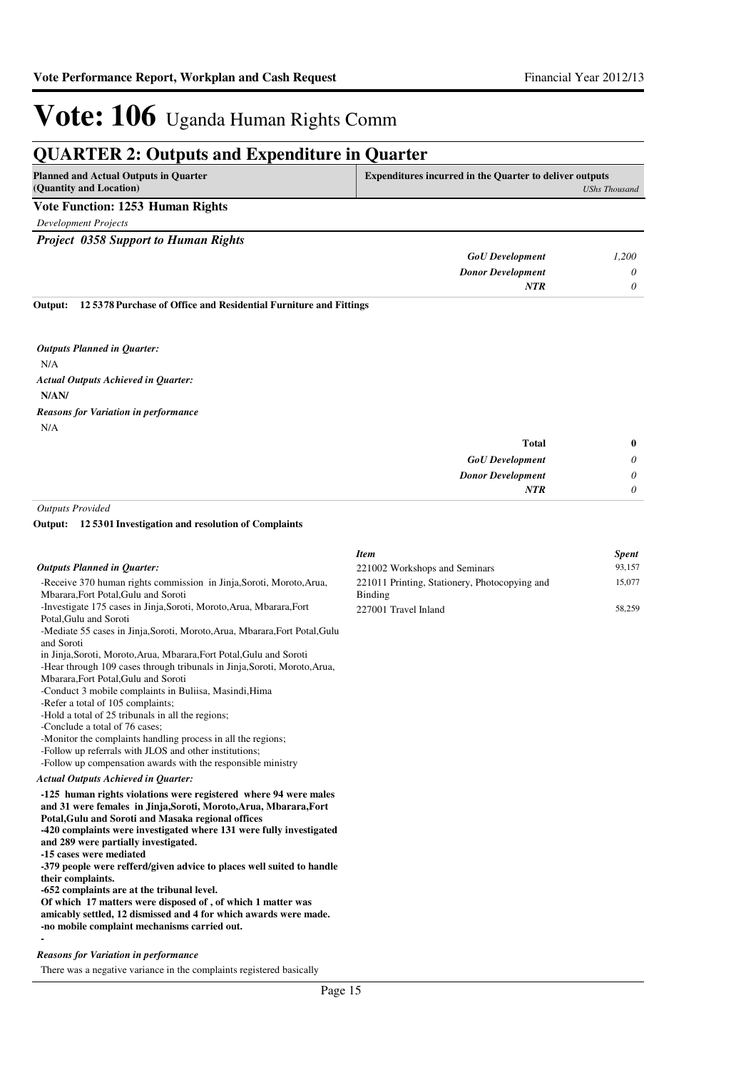*0*

## Vote: 106 Uganda Human Rights Comm

## **QUARTER 2: Outputs and Expenditure in Quarter**

| <b>Planned and Actual Outputs in Quarter</b><br>(Quantity and Location) | <b>Expenditures incurred in the Quarter to deliver outputs</b><br>UShs Thousand |       |
|-------------------------------------------------------------------------|---------------------------------------------------------------------------------|-------|
| Vote Function: 1253 Human Rights                                        |                                                                                 |       |
| Development Projects                                                    |                                                                                 |       |
| <b>Project 0358 Support to Human Rights</b>                             |                                                                                 |       |
|                                                                         | <b>GoU</b> Development                                                          | 1.200 |

| .200 | <b>GoU</b> Development   |
|------|--------------------------|
|      | <b>Donor Development</b> |
|      | NTR                      |
|      |                          |

**12 5378 Purchase of Office and Residential Furniture and Fittings Output:**

N/A **N/AN/** *Actual Outputs Achieved in Quarter: Outputs Planned in Quarter:* N/A *Reasons for Variation in performance*

| $\bf{0}$ | Total                    |
|----------|--------------------------|
| 0        | <b>GoU</b> Development   |
| 0        | <b>Donor Development</b> |
| 0        | <b>NTR</b>               |
|          |                          |

*Outputs Provided*

#### **12 5301 Investigation and resolution of Complaints Output:**

|                                                                                                | <b>Item</b>                                   | <b>Spent</b> |
|------------------------------------------------------------------------------------------------|-----------------------------------------------|--------------|
| <b>Outputs Planned in Quarter:</b>                                                             | 221002 Workshops and Seminars                 | 93,157       |
| -Receive 370 human rights commission in Jinja, Soroti, Moroto, Arua,                           | 221011 Printing, Stationery, Photocopying and | 15,077       |
| Mbarara, Fort Potal, Gulu and Soroti                                                           | Binding                                       |              |
| -Investigate 175 cases in Jinja, Soroti, Moroto, Arua, Mbarara, Fort<br>Potal, Gulu and Soroti | 227001 Travel Inland                          | 58,259       |
| -Mediate 55 cases in Jinja, Soroti, Moroto, Arua, Mbarara, Fort Potal, Gulu                    |                                               |              |
| and Soroti                                                                                     |                                               |              |
| in Jinja, Soroti, Moroto, Arua, Mbarara, Fort Potal, Gulu and Soroti                           |                                               |              |
| -Hear through 109 cases through tribunals in Jinja, Soroti, Moroto, Arua,                      |                                               |              |
| Mbarara, Fort Potal, Gulu and Soroti                                                           |                                               |              |
| -Conduct 3 mobile complaints in Buliisa, Masindi, Hima                                         |                                               |              |
| -Refer a total of 105 complaints;                                                              |                                               |              |
| -Hold a total of 25 tribunals in all the regions;                                              |                                               |              |
| -Conclude a total of 76 cases;                                                                 |                                               |              |
| -Monitor the complaints handling process in all the regions;                                   |                                               |              |
| -Follow up referrals with JLOS and other institutions;                                         |                                               |              |
| -Follow up compensation awards with the responsible ministry                                   |                                               |              |
| Actual Outputs Achieved in Quarter:                                                            |                                               |              |
| -125 human rights violations were registered where 94 were males                               |                                               |              |
| and 31 were females in Jinja, Soroti, Moroto, Arua, Mbarara, Fort                              |                                               |              |
| Potal, Gulu and Soroti and Masaka regional offices                                             |                                               |              |
| -420 complaints were investigated where 131 were fully investigated                            |                                               |              |
| and 289 were partially investigated.                                                           |                                               |              |
| -15 cases were mediated                                                                        |                                               |              |
| -379 people were refferd/given advice to places well suited to handle                          |                                               |              |
| their complaints.                                                                              |                                               |              |
| -652 complaints are at the tribunal level.                                                     |                                               |              |
| Of which 17 matters were disposed of, of which 1 matter was                                    |                                               |              |
| amicably settled, 12 dismissed and 4 for which awards were made.                               |                                               |              |
| -no mobile complaint mechanisms carried out.                                                   |                                               |              |
|                                                                                                |                                               |              |
| <b>Reasons for Variation in performance</b>                                                    |                                               |              |
| There was a negative variance in the complaints registered basically                           |                                               |              |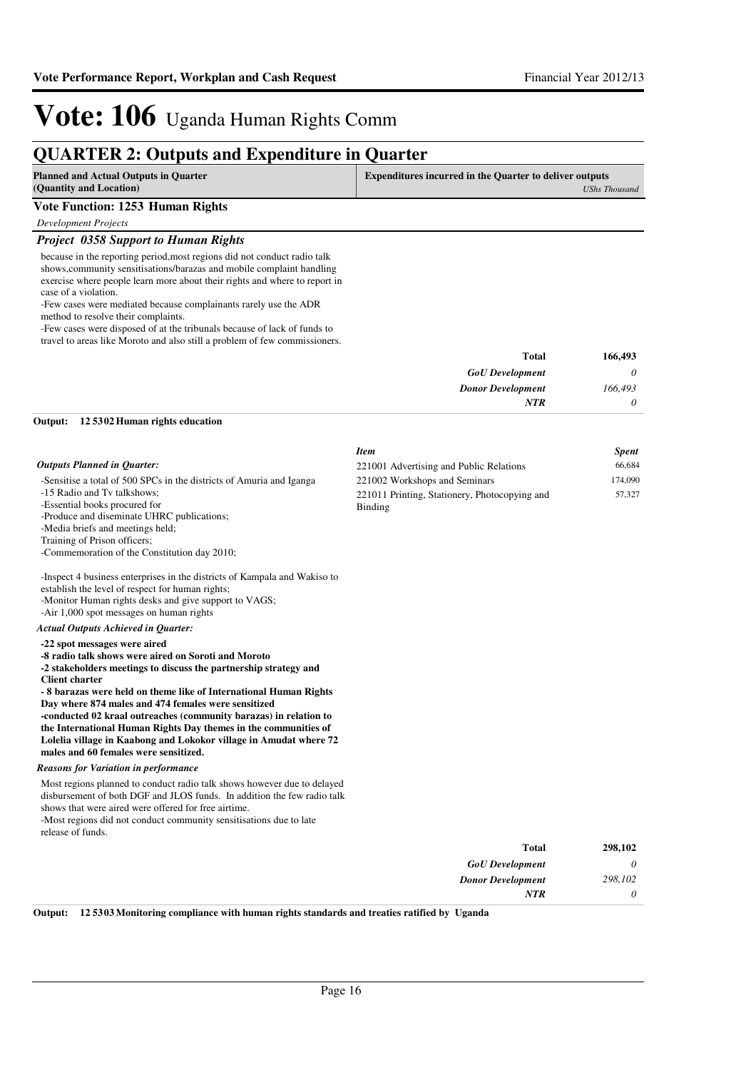### **QUARTER 2: Outputs and Expenditure in Quarter**

| <b>Planned and Actual Outputs in Quarter</b><br>(Quantity and Location)                                                                                                                                                                                                                                                                                                                                                                                                                                                                                            | <b>Expenditures incurred in the Quarter to deliver outputs</b><br><b>UShs Thousand</b> |              |
|--------------------------------------------------------------------------------------------------------------------------------------------------------------------------------------------------------------------------------------------------------------------------------------------------------------------------------------------------------------------------------------------------------------------------------------------------------------------------------------------------------------------------------------------------------------------|----------------------------------------------------------------------------------------|--------------|
| <b>Vote Function: 1253 Human Rights</b>                                                                                                                                                                                                                                                                                                                                                                                                                                                                                                                            |                                                                                        |              |
| Development Projects                                                                                                                                                                                                                                                                                                                                                                                                                                                                                                                                               |                                                                                        |              |
| <b>Project 0358 Support to Human Rights</b>                                                                                                                                                                                                                                                                                                                                                                                                                                                                                                                        |                                                                                        |              |
| because in the reporting period, most regions did not conduct radio talk<br>shows, community sensitisations/barazas and mobile complaint handling<br>exercise where people learn more about their rights and where to report in<br>case of a violation.<br>-Few cases were mediated because complainants rarely use the ADR<br>method to resolve their complaints.<br>-Few cases were disposed of at the tribunals because of lack of funds to<br>travel to areas like Moroto and also still a problem of few commissioners.                                       |                                                                                        |              |
|                                                                                                                                                                                                                                                                                                                                                                                                                                                                                                                                                                    | Total                                                                                  | 166,493      |
|                                                                                                                                                                                                                                                                                                                                                                                                                                                                                                                                                                    | <b>GoU</b> Development                                                                 | 0            |
|                                                                                                                                                                                                                                                                                                                                                                                                                                                                                                                                                                    | <b>Donor Development</b>                                                               | 166,493      |
|                                                                                                                                                                                                                                                                                                                                                                                                                                                                                                                                                                    | <b>NTR</b>                                                                             | 0            |
| Output:<br>12 5302 Human rights education                                                                                                                                                                                                                                                                                                                                                                                                                                                                                                                          |                                                                                        |              |
|                                                                                                                                                                                                                                                                                                                                                                                                                                                                                                                                                                    | <b>Item</b>                                                                            | <b>Spent</b> |
| <b>Outputs Planned in Quarter:</b>                                                                                                                                                                                                                                                                                                                                                                                                                                                                                                                                 | 221001 Advertising and Public Relations                                                | 66,684       |
| -Sensitise a total of 500 SPCs in the districts of Amuria and Iganga                                                                                                                                                                                                                                                                                                                                                                                                                                                                                               | 221002 Workshops and Seminars                                                          | 174,090      |
| -15 Radio and Tv talkshows;<br>-Essential books procured for<br>-Produce and diseminate UHRC publications;<br>-Media briefs and meetings held;<br>Training of Prison officers;<br>-Commemoration of the Constitution day 2010;<br>-Inspect 4 business enterprises in the districts of Kampala and Wakiso to<br>establish the level of respect for human rights;<br>-Monitor Human rights desks and give support to VAGS;                                                                                                                                           | 221011 Printing, Stationery, Photocopying and<br>Binding                               | 57,327       |
| -Air 1,000 spot messages on human rights                                                                                                                                                                                                                                                                                                                                                                                                                                                                                                                           |                                                                                        |              |
| <b>Actual Outputs Achieved in Quarter:</b>                                                                                                                                                                                                                                                                                                                                                                                                                                                                                                                         |                                                                                        |              |
| -22 spot messages were aired<br>-8 radio talk shows were aired on Soroti and Moroto<br>-2 stakeholders meetings to discuss the partnership strategy and<br><b>Client charter</b><br>- 8 barazas were held on theme like of International Human Rights<br>Day where 874 males and 474 females were sensitized<br>-conducted 02 kraal outreaches (community barazas) in relation to<br>the International Human Rights Day themes in the communities of<br>Lolelia village in Kaabong and Lokokor village in Amudat where 72<br>males and 60 females were sensitized. |                                                                                        |              |
| <b>Reasons for Variation in performance</b>                                                                                                                                                                                                                                                                                                                                                                                                                                                                                                                        |                                                                                        |              |
| Most regions planned to conduct radio talk shows however due to delayed<br>disbursement of both DGF and JLOS funds. In addition the few radio talk<br>shows that were aired were offered for free airtime.<br>-Most regions did not conduct community sensitisations due to late<br>release of funds.                                                                                                                                                                                                                                                              |                                                                                        |              |
|                                                                                                                                                                                                                                                                                                                                                                                                                                                                                                                                                                    | <b>Total</b>                                                                           | 298,102      |
|                                                                                                                                                                                                                                                                                                                                                                                                                                                                                                                                                                    | <b>GoU</b> Development                                                                 | 0            |
|                                                                                                                                                                                                                                                                                                                                                                                                                                                                                                                                                                    | <b>Donor Development</b><br><b>NTR</b>                                                 | 298,102<br>0 |

**Output: 12 5303 Monitoring compliance with human rights standards and treaties ratified by Uganda**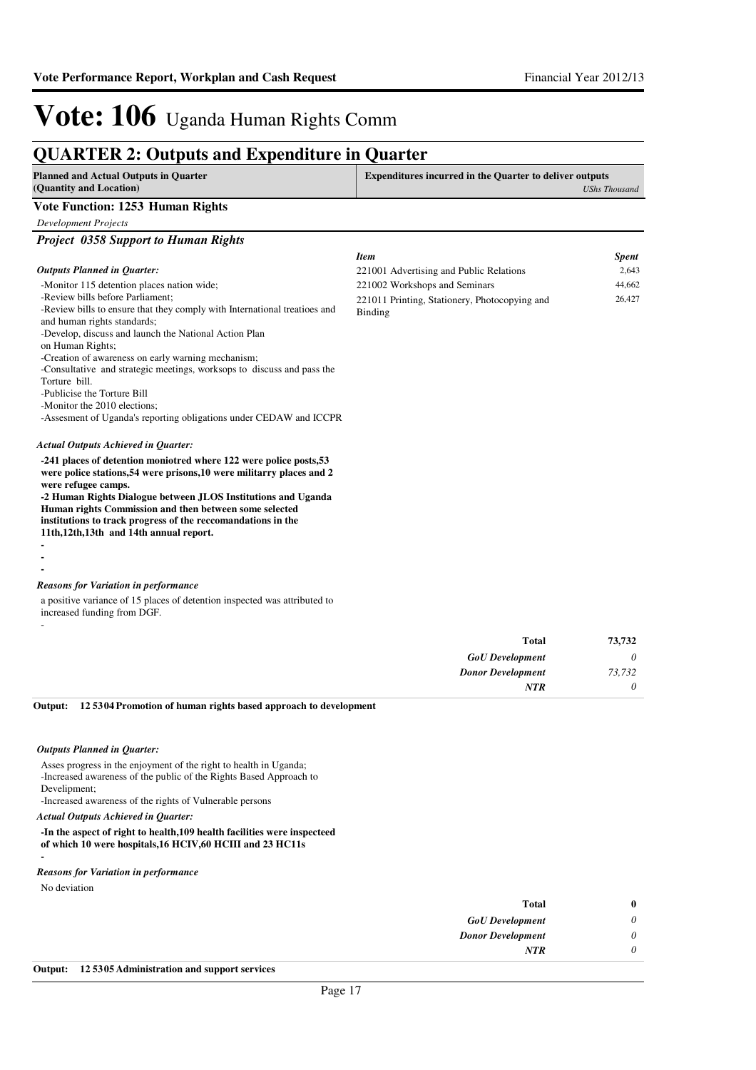### **QUARTER 2: Outputs and Expenditure in Quarter**

| <b>Planned and Actual Outputs in Quarter</b><br>(Quantity and Location)                                                                                                                                                                                                                                                                                                                                   | <b>Expenditures incurred in the Quarter to deliver outputs</b><br><b>UShs Thousand</b> |                    |
|-----------------------------------------------------------------------------------------------------------------------------------------------------------------------------------------------------------------------------------------------------------------------------------------------------------------------------------------------------------------------------------------------------------|----------------------------------------------------------------------------------------|--------------------|
| <b>Vote Function: 1253 Human Rights</b>                                                                                                                                                                                                                                                                                                                                                                   |                                                                                        |                    |
| <b>Development Projects</b>                                                                                                                                                                                                                                                                                                                                                                               |                                                                                        |                    |
| <b>Project 0358 Support to Human Rights</b>                                                                                                                                                                                                                                                                                                                                                               |                                                                                        |                    |
|                                                                                                                                                                                                                                                                                                                                                                                                           | <b>Item</b>                                                                            | <b>Spent</b>       |
| <b>Outputs Planned in Quarter:</b>                                                                                                                                                                                                                                                                                                                                                                        | 221001 Advertising and Public Relations                                                | 2,643              |
| -Monitor 115 detention places nation wide;                                                                                                                                                                                                                                                                                                                                                                | 221002 Workshops and Seminars                                                          | 44,662             |
| -Review bills before Parliament;                                                                                                                                                                                                                                                                                                                                                                          | 221011 Printing, Stationery, Photocopying and                                          | 26,427             |
| -Review bills to ensure that they comply with International treatioes and<br>and human rights standards;                                                                                                                                                                                                                                                                                                  | Binding                                                                                |                    |
| -Develop, discuss and launch the National Action Plan                                                                                                                                                                                                                                                                                                                                                     |                                                                                        |                    |
| on Human Rights;                                                                                                                                                                                                                                                                                                                                                                                          |                                                                                        |                    |
| -Creation of awareness on early warning mechanism;                                                                                                                                                                                                                                                                                                                                                        |                                                                                        |                    |
| -Consultative and strategic meetings, worksops to discuss and pass the<br>Torture bill.                                                                                                                                                                                                                                                                                                                   |                                                                                        |                    |
| -Publicise the Torture Bill                                                                                                                                                                                                                                                                                                                                                                               |                                                                                        |                    |
| -Monitor the 2010 elections;                                                                                                                                                                                                                                                                                                                                                                              |                                                                                        |                    |
| -Assesment of Uganda's reporting obligations under CEDAW and ICCPR                                                                                                                                                                                                                                                                                                                                        |                                                                                        |                    |
| <b>Actual Outputs Achieved in Quarter:</b>                                                                                                                                                                                                                                                                                                                                                                |                                                                                        |                    |
| -241 places of detention moniotred where 122 were police posts, 53<br>were police stations, 54 were prisons, 10 were militarry places and 2<br>were refugee camps.<br>-2 Human Rights Dialogue between JLOS Institutions and Uganda<br>Human rights Commission and then between some selected<br>institutions to track progress of the reccomandations in the<br>11th, 12th, 13th and 14th annual report. |                                                                                        |                    |
|                                                                                                                                                                                                                                                                                                                                                                                                           |                                                                                        |                    |
|                                                                                                                                                                                                                                                                                                                                                                                                           |                                                                                        |                    |
| <b>Reasons for Variation in performance</b>                                                                                                                                                                                                                                                                                                                                                               |                                                                                        |                    |
| a positive variance of 15 places of detention inspected was attributed to<br>increased funding from DGF.                                                                                                                                                                                                                                                                                                  |                                                                                        |                    |
|                                                                                                                                                                                                                                                                                                                                                                                                           | <b>Total</b>                                                                           | 73,732             |
|                                                                                                                                                                                                                                                                                                                                                                                                           |                                                                                        |                    |
|                                                                                                                                                                                                                                                                                                                                                                                                           | <b>GoU</b> Development                                                                 | 0                  |
|                                                                                                                                                                                                                                                                                                                                                                                                           | <b>Donor Development</b><br><b>NTR</b>                                                 | 73,732<br>$\theta$ |
|                                                                                                                                                                                                                                                                                                                                                                                                           |                                                                                        |                    |
| Output:<br>125304 Promotion of human rights based approach to development<br><b>Outputs Planned in Quarter:</b>                                                                                                                                                                                                                                                                                           |                                                                                        |                    |

Asses progress in the enjoyment of the right to health in Uganda; -Increased awareness of the public of the Rights Based Approach to Develipment;

-Increased awareness of the rights of Vulnerable persons

*Actual Outputs Achieved in Quarter:*

#### **-In the aspect of right to health,109 health facilities were inspecteed of which 10 were hospitals,16 HCIV,60 HCIII and 23 HC11s -**

#### *Reasons for Variation in performance*

No deviation

| $\bf{0}$ | <b>Total</b>             |
|----------|--------------------------|
| 0        | <b>GoU</b> Development   |
| 0        | <b>Donor Development</b> |
| 0        | <b>NTR</b>               |
|          |                          |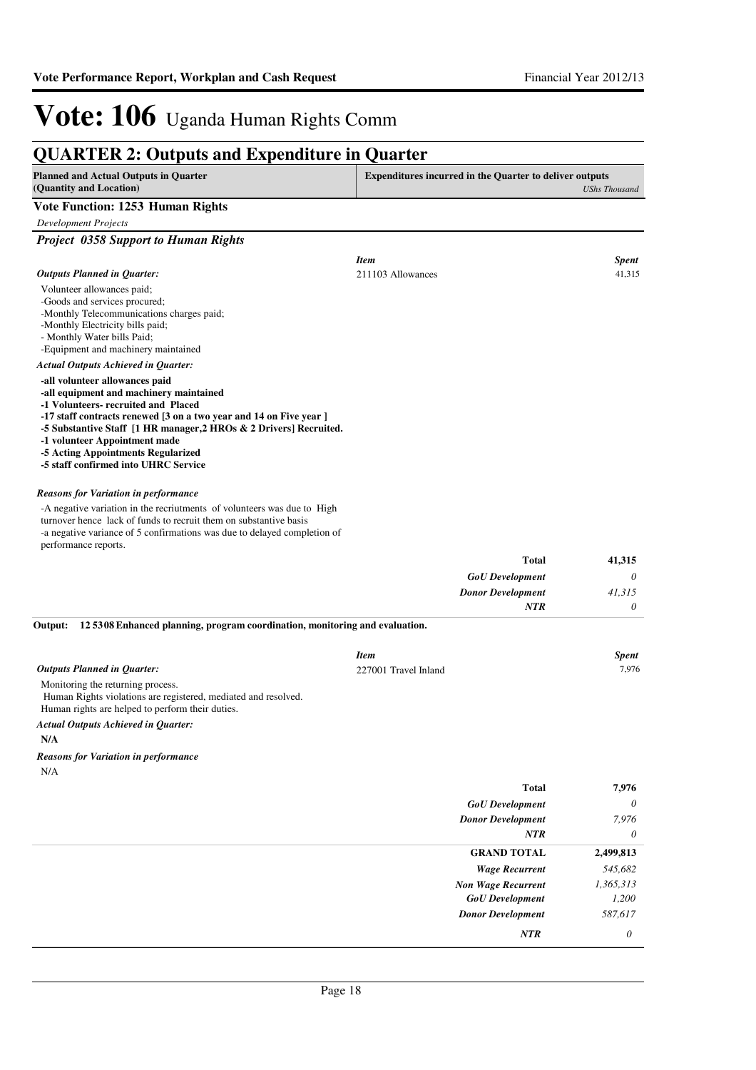#### **QUARTER 2: Outputs and Expenditure in Quarter Planned and Actual Outputs in Quarter (Quantity and Location) Expenditures incurred in the Quarter to deliver outputs**  *UShs Thousand* **Vote Function: 1253 Human Rights** *Development Projects Project 0358 Support to Human Rights* Volunteer allowances paid; -Goods and services procured; -Monthly Telecommunications charges paid; -Monthly Electricity bills paid; - Monthly Water bills Paid; -Equipment and machinery maintained **-all volunteer allowances paid -all equipment and machinery maintained -1 Volunteers- recruited and Placed -17 staff contracts renewed [3 on a two year and 14 on Five year ] -5 Substantive Staff [1 HR manager,2 HROs & 2 Drivers] Recruited. -1 volunteer Appointment made -5 Acting Appointments Regularized -5 staff confirmed into UHRC Service** *GoU Development Donor Development* **Total** *0 41,315 0* **41,315** *Actual Outputs Achieved in Quarter: Outputs Planned in Quarter: NTR* -A negative variation in the recriutments of volunteers was due to High turnover hence lack of funds to recruit them on substantive basis -a negative variance of 5 confirmations was due to delayed completion of performance reports. *Reasons for Variation in performance Item Spent* 211103 Allowances 41,315 Monitoring the returning process. Human Rights violations are registered, mediated and resolved. Human rights are helped to perform their duties. **N/A 12 5308 Enhanced planning, program coordination, monitoring and evaluation. Output:** *GoU Development* **Total** *0* **7,976** *Actual Outputs Achieved in Quarter: Outputs Planned in Quarter:* N/A *Reasons for Variation in performance Item Spent* 227001 Travel Inland 7,976

| <b>GoU</b> Development    | $\theta$  |
|---------------------------|-----------|
| <b>Donor Development</b>  | 7,976     |
| <b>NTR</b>                | $\theta$  |
| <b>GRAND TOTAL</b>        | 2,499,813 |
| <b>Wage Recurrent</b>     | 545,682   |
| <b>Non Wage Recurrent</b> | 1,365,313 |
| <b>GoU</b> Development    | 1,200     |
| <b>Donor Development</b>  | 587,617   |
| <b>NTR</b>                | 0         |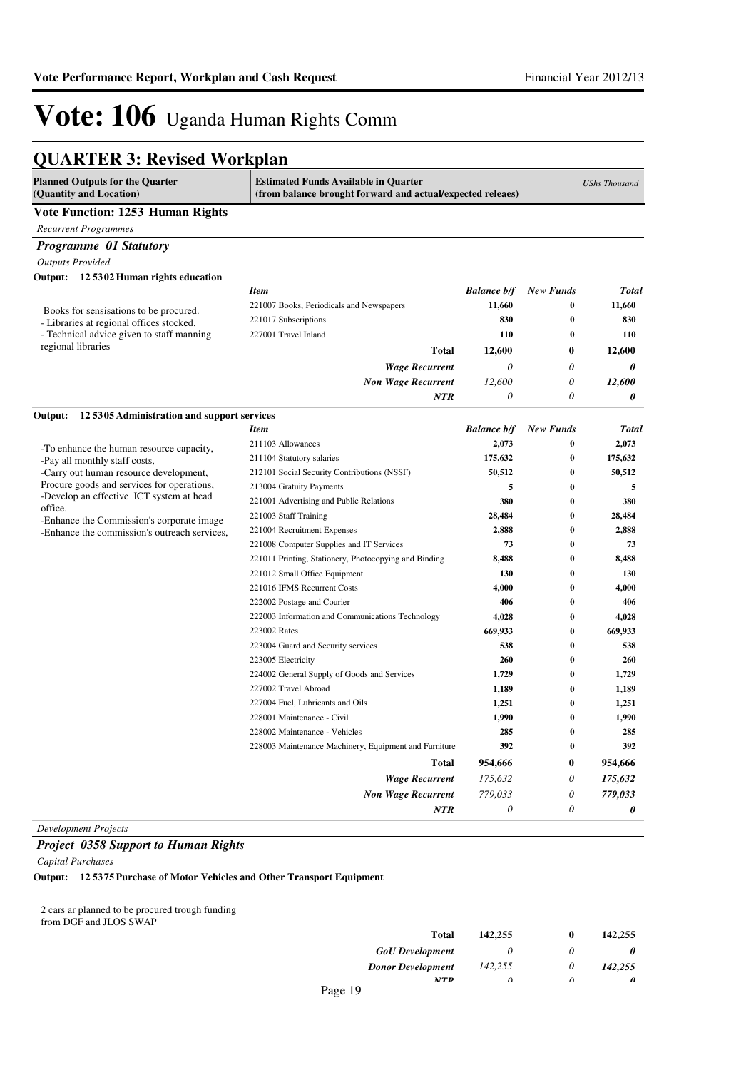### **QUARTER 3: Revised Workplan**

| <b>Planned Outputs for the Quarter</b><br>(Quantity and Location)                          | <b>Estimated Funds Available in Quarter</b><br>(from balance brought forward and actual/expected releaes) |                    |                  | <b>UShs Thousand</b> |
|--------------------------------------------------------------------------------------------|-----------------------------------------------------------------------------------------------------------|--------------------|------------------|----------------------|
| Vote Function: 1253 Human Rights                                                           |                                                                                                           |                    |                  |                      |
| <b>Recurrent Programmes</b>                                                                |                                                                                                           |                    |                  |                      |
| <b>Programme</b> 01 Statutory                                                              |                                                                                                           |                    |                  |                      |
| <b>Outputs Provided</b>                                                                    |                                                                                                           |                    |                  |                      |
| Output: 12 5302 Human rights education                                                     |                                                                                                           |                    |                  |                      |
|                                                                                            | <b>Item</b>                                                                                               | <b>Balance b/f</b> | <b>New Funds</b> | <b>Total</b>         |
|                                                                                            | 221007 Books, Periodicals and Newspapers                                                                  | 11,660             | $\bf{0}$         | 11,660               |
| Books for sensisations to be procured.<br>- Libraries at regional offices stocked.         | 221017 Subscriptions                                                                                      | 830                | $\bf{0}$         | 830                  |
| - Technical advice given to staff manning                                                  | 227001 Travel Inland                                                                                      | 110                | $\bf{0}$         | 110                  |
| regional libraries                                                                         | <b>Total</b>                                                                                              | 12,600             | 0                | 12,600               |
|                                                                                            | <b>Wage Recurrent</b>                                                                                     | 0                  | 0                | 0                    |
|                                                                                            | <b>Non Wage Recurrent</b>                                                                                 | 12,600             | 0                | 12,600               |
|                                                                                            | NTR                                                                                                       | 0                  | 0                | 0                    |
|                                                                                            |                                                                                                           |                    |                  |                      |
| Output:<br>125305 Administration and support services                                      | <b>Item</b>                                                                                               | <b>Balance b/f</b> | <b>New Funds</b> | <b>Total</b>         |
|                                                                                            | 211103 Allowances                                                                                         | 2,073              | $\bf{0}$         | 2,073                |
| -To enhance the human resource capacity,                                                   | 211104 Statutory salaries                                                                                 | 175,632            | 0                | 175,632              |
| -Pay all monthly staff costs,<br>-Carry out human resource development,                    | 212101 Social Security Contributions (NSSF)                                                               | 50,512             | $\bf{0}$         | 50,512               |
| Procure goods and services for operations,                                                 | 213004 Gratuity Payments                                                                                  | 5                  | $\bf{0}$         | 5                    |
| -Develop an effective ICT system at head                                                   | 221001 Advertising and Public Relations                                                                   | 380                | 0                | 380                  |
| office.                                                                                    | 221003 Staff Training                                                                                     | 28,484             | $\bf{0}$         | 28,484               |
| -Enhance the Commission's corporate image.<br>-Enhance the commission's outreach services, | 221004 Recruitment Expenses                                                                               | 2,888              | $\bf{0}$         | 2,888                |
|                                                                                            | 221008 Computer Supplies and IT Services                                                                  | 73                 | $\bf{0}$         | 73                   |
|                                                                                            | 221011 Printing, Stationery, Photocopying and Binding                                                     | 8,488              | $\bf{0}$         | 8,488                |
|                                                                                            | 221012 Small Office Equipment                                                                             | 130                | $\bf{0}$         | 130                  |
|                                                                                            | 221016 IFMS Recurrent Costs                                                                               | 4,000              | $\bf{0}$         | 4,000                |
|                                                                                            | 222002 Postage and Courier                                                                                | 406                | $\bf{0}$         | 406                  |
|                                                                                            | 222003 Information and Communications Technology                                                          | 4,028              | $\bf{0}$         | 4,028                |
|                                                                                            | 223002 Rates                                                                                              | 669,933            | 0                | 669,933              |
|                                                                                            | 223004 Guard and Security services                                                                        | 538                | $\bf{0}$         | 538                  |
|                                                                                            | 223005 Electricity                                                                                        | 260                | $\bf{0}$         | 260                  |
|                                                                                            | 224002 General Supply of Goods and Services                                                               | 1,729              | $\bf{0}$         | 1,729                |
|                                                                                            | 227002 Travel Abroad                                                                                      | 1,189              | $\bf{0}$         | 1,189                |
|                                                                                            | 227004 Fuel, Lubricants and Oils                                                                          | 1,251              | $\bf{0}$         | 1,251                |
|                                                                                            | 228001 Maintenance - Civil                                                                                | 1,990              | $\bf{0}$         | 1,990                |
|                                                                                            | 228002 Maintenance - Vehicles                                                                             | 285                | $\bf{0}$         | 285                  |
|                                                                                            | 228003 Maintenance Machinery, Equipment and Furniture                                                     | 392                | 0                | 392                  |
|                                                                                            | <b>Total</b>                                                                                              | 954,666            | 0                | 954,666              |
|                                                                                            | <b>Wage Recurrent</b>                                                                                     | 175,632            | 0                | 175,632              |
|                                                                                            | <b>Non Wage Recurrent</b>                                                                                 | 779.033            | 0                | 779,033              |
|                                                                                            | <b>NTR</b>                                                                                                | 0                  | $\theta$         | 0                    |

*Development Projects*

#### *Project 0358 Support to Human Rights*

*Capital Purchases*

#### **Output: 12 5375 Purchase of Motor Vehicles and Other Transport Equipment**

2 cars ar planned to be procured trough funding from DGF and JLOS SWAP

| Total                                                        | 142,255 | 142,255 |
|--------------------------------------------------------------|---------|---------|
| <b>GoU</b> Development                                       |         |         |
| <b>Donor Development</b>                                     | 142,255 | 142,255 |
| $\lambda T$ $D$<br>$\sim$ $\sim$<br>$\overline{\phantom{a}}$ |         |         |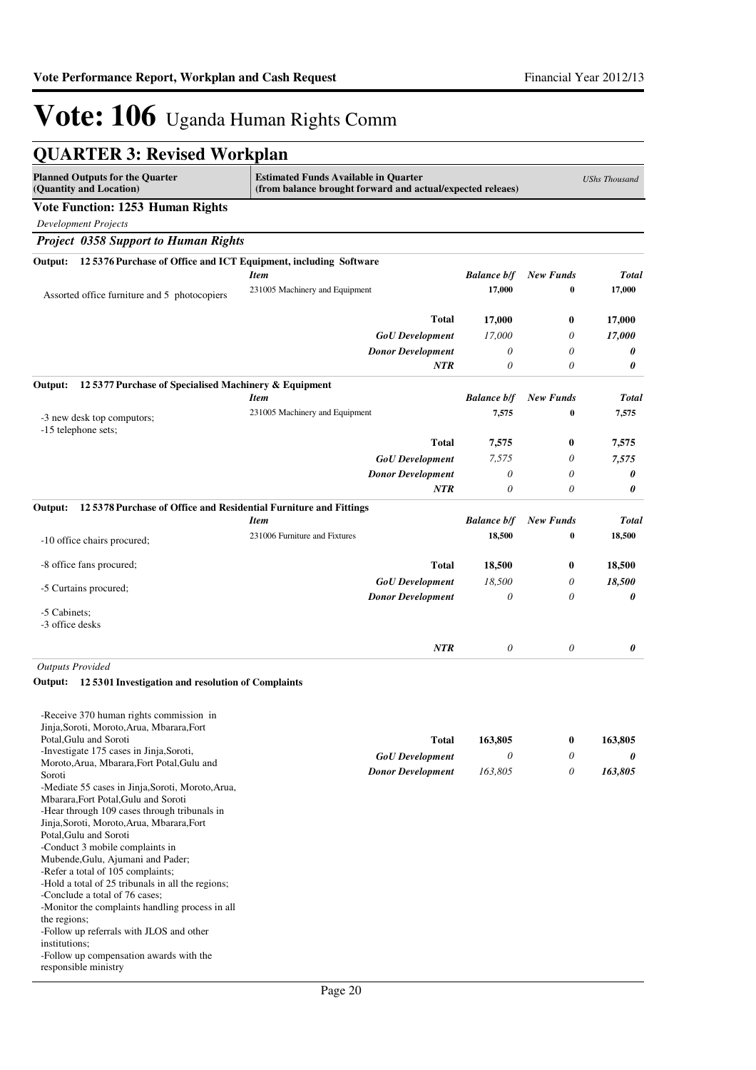| <b>QUARTER 3: Revised Workplan</b>                                                   |                                                                                                           |                       |                  |                      |
|--------------------------------------------------------------------------------------|-----------------------------------------------------------------------------------------------------------|-----------------------|------------------|----------------------|
| <b>Planned Outputs for the Quarter</b><br>(Quantity and Location)                    | <b>Estimated Funds Available in Quarter</b><br>(from balance brought forward and actual/expected releaes) |                       |                  | <b>UShs Thousand</b> |
| <b>Vote Function: 1253 Human Rights</b>                                              |                                                                                                           |                       |                  |                      |
| <b>Development Projects</b>                                                          |                                                                                                           |                       |                  |                      |
| <b>Project 0358 Support to Human Rights</b>                                          |                                                                                                           |                       |                  |                      |
| 12 5376 Purchase of Office and ICT Equipment, including Software<br>Output:          |                                                                                                           |                       |                  |                      |
|                                                                                      | <b>Item</b>                                                                                               | <b>Balance b/f</b>    | <b>New Funds</b> | <b>Total</b>         |
| Assorted office furniture and 5 photocopiers                                         | 231005 Machinery and Equipment                                                                            | 17,000                | 0                | 17,000               |
|                                                                                      |                                                                                                           |                       |                  |                      |
|                                                                                      | <b>Total</b>                                                                                              | 17,000                | $\bf{0}$         | 17,000               |
|                                                                                      | <b>GoU</b> Development                                                                                    | 17,000                | 0                | 17,000               |
|                                                                                      | <b>Donor Development</b>                                                                                  | $\theta$              | 0                | 0                    |
|                                                                                      | <b>NTR</b>                                                                                                | $\theta$              | 0                | 0                    |
| 12 5377 Purchase of Specialised Machinery & Equipment<br>Output:                     |                                                                                                           |                       |                  |                      |
|                                                                                      | <b>Item</b>                                                                                               | <b>Balance b/f</b>    | <b>New Funds</b> | <b>Total</b>         |
| -3 new desk top computors;                                                           | 231005 Machinery and Equipment                                                                            | 7,575                 | 0                | 7,575                |
| -15 telephone sets;                                                                  | <b>Total</b>                                                                                              | 7,575                 | $\boldsymbol{0}$ | 7,575                |
|                                                                                      | <b>GoU</b> Development                                                                                    | 7,575                 | 0                | 7,575                |
|                                                                                      | <b>Donor Development</b>                                                                                  | 0                     | 0                | 0                    |
|                                                                                      | <b>NTR</b>                                                                                                | $\theta$              | 0                | 0                    |
| 12 5378 Purchase of Office and Residential Furniture and Fittings<br>Output:         |                                                                                                           |                       |                  |                      |
|                                                                                      | <b>Item</b>                                                                                               | <b>Balance b/f</b>    | <b>New Funds</b> | <b>Total</b>         |
|                                                                                      | 231006 Furniture and Fixtures                                                                             | 18,500                | 0                | 18,500               |
| -10 office chairs procured;                                                          |                                                                                                           |                       |                  |                      |
| -8 office fans procured;                                                             | <b>Total</b>                                                                                              | 18,500                | $\bf{0}$         | 18,500               |
|                                                                                      | <b>GoU</b> Development                                                                                    | 18,500                | 0                | 18,500               |
| -5 Curtains procured;                                                                | <b>Donor Development</b>                                                                                  | $\theta$              | 0                | 0                    |
| -5 Cabinets;                                                                         |                                                                                                           |                       |                  |                      |
| -3 office desks                                                                      |                                                                                                           |                       |                  |                      |
|                                                                                      | <b>NTR</b>                                                                                                | $\boldsymbol{\theta}$ | $\theta$         | 0                    |
| <b>Outputs Provided</b>                                                              |                                                                                                           |                       |                  |                      |
| 125301 Investigation and resolution of Complaints<br>Output:                         |                                                                                                           |                       |                  |                      |
| -Receive 370 human rights commission in                                              |                                                                                                           |                       |                  |                      |
| Jinja, Soroti, Moroto, Arua, Mbarara, Fort                                           |                                                                                                           |                       |                  |                      |
| Potal, Gulu and Soroti<br>-Investigate 175 cases in Jinja, Soroti,                   | <b>Total</b>                                                                                              | 163,805               | $\bf{0}$         | 163,805              |
| Moroto, Arua, Mbarara, Fort Potal, Gulu and                                          | <b>GoU</b> Development                                                                                    | $\theta$              | 0                | 0                    |
| Soroti                                                                               | <b>Donor Development</b>                                                                                  | 163,805               | 0                | 163,805              |
| -Mediate 55 cases in Jinja, Soroti, Moroto, Arua,                                    |                                                                                                           |                       |                  |                      |
| Mbarara, Fort Potal, Gulu and Soroti<br>-Hear through 109 cases through tribunals in |                                                                                                           |                       |                  |                      |
| Jinja, Soroti, Moroto, Arua, Mbarara, Fort                                           |                                                                                                           |                       |                  |                      |
| Potal, Gulu and Soroti                                                               |                                                                                                           |                       |                  |                      |
| -Conduct 3 mobile complaints in<br>Mubende, Gulu, Ajumani and Pader;                 |                                                                                                           |                       |                  |                      |
| -Refer a total of 105 complaints;                                                    |                                                                                                           |                       |                  |                      |
| -Hold a total of 25 tribunals in all the regions;                                    |                                                                                                           |                       |                  |                      |
| -Conclude a total of 76 cases;                                                       |                                                                                                           |                       |                  |                      |
| -Monitor the complaints handling process in all<br>the regions;                      |                                                                                                           |                       |                  |                      |
| -Follow up referrals with JLOS and other                                             |                                                                                                           |                       |                  |                      |
| institutions;                                                                        |                                                                                                           |                       |                  |                      |
| -Follow up compensation awards with the                                              |                                                                                                           |                       |                  |                      |

responsible ministry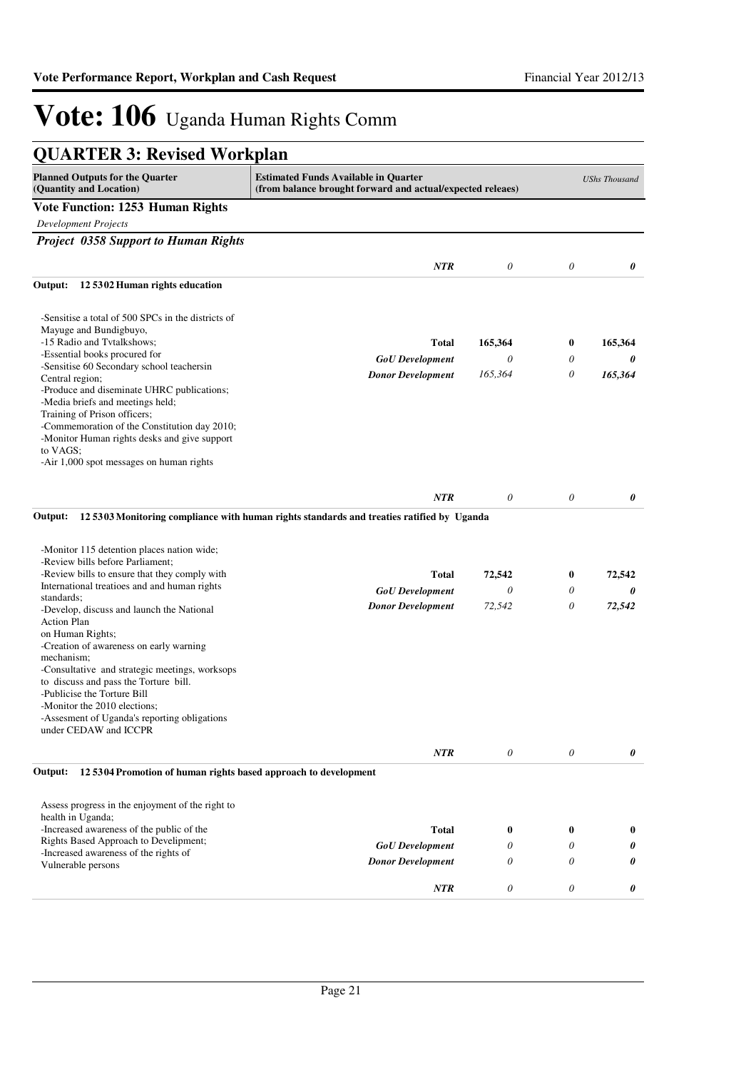| <b>QUARTER 3: Revised Workplan</b>                                                      |                                                                                                           |                       |                       |                      |
|-----------------------------------------------------------------------------------------|-----------------------------------------------------------------------------------------------------------|-----------------------|-----------------------|----------------------|
| <b>Planned Outputs for the Quarter</b><br>(Quantity and Location)                       | <b>Estimated Funds Available in Quarter</b><br>(from balance brought forward and actual/expected releaes) |                       |                       | <b>UShs Thousand</b> |
| <b>Vote Function: 1253 Human Rights</b>                                                 |                                                                                                           |                       |                       |                      |
| <b>Development Projects</b>                                                             |                                                                                                           |                       |                       |                      |
| <b>Project 0358 Support to Human Rights</b>                                             |                                                                                                           |                       |                       |                      |
|                                                                                         | <b>NTR</b>                                                                                                | $\boldsymbol{\theta}$ | $\theta$              | 0                    |
| 12 5302 Human rights education<br>Output:                                               |                                                                                                           |                       |                       |                      |
|                                                                                         |                                                                                                           |                       |                       |                      |
| -Sensitise a total of 500 SPCs in the districts of<br>Mayuge and Bundigbuyo,            |                                                                                                           |                       |                       |                      |
| -15 Radio and Tvtalkshows;<br>-Essential books procured for                             | <b>Total</b>                                                                                              | 165,364               | $\bf{0}$              | 165,364              |
| -Sensitise 60 Secondary school teachersin                                               | <b>GoU</b> Development                                                                                    | $\theta$              | 0                     | 0                    |
| Central region;                                                                         | <b>Donor Development</b>                                                                                  | 165,364               | 0                     | 165,364              |
| -Produce and diseminate UHRC publications;                                              |                                                                                                           |                       |                       |                      |
| -Media briefs and meetings held;<br>Training of Prison officers;                        |                                                                                                           |                       |                       |                      |
| -Commemoration of the Constitution day 2010;                                            |                                                                                                           |                       |                       |                      |
| -Monitor Human rights desks and give support                                            |                                                                                                           |                       |                       |                      |
| to VAGS:                                                                                |                                                                                                           |                       |                       |                      |
| -Air 1,000 spot messages on human rights                                                |                                                                                                           |                       |                       |                      |
|                                                                                         |                                                                                                           |                       |                       |                      |
|                                                                                         | <b>NTR</b>                                                                                                | $\boldsymbol{\theta}$ | $\boldsymbol{\theta}$ | 0                    |
| Output:                                                                                 | 125303 Monitoring compliance with human rights standards and treaties ratified by Uganda                  |                       |                       |                      |
|                                                                                         |                                                                                                           |                       |                       |                      |
| -Monitor 115 detention places nation wide;                                              |                                                                                                           |                       |                       |                      |
| -Review bills before Parliament;<br>-Review bills to ensure that they comply with       | <b>Total</b>                                                                                              | 72,542                | $\bf{0}$              | 72,542               |
| International treatioes and and human rights                                            | <b>GoU</b> Development                                                                                    | $\theta$              | 0                     | 0                    |
| standards;                                                                              |                                                                                                           | 72,542                | 0                     |                      |
| -Develop, discuss and launch the National                                               | <b>Donor Development</b>                                                                                  |                       |                       | 72,542               |
| <b>Action Plan</b><br>on Human Rights;                                                  |                                                                                                           |                       |                       |                      |
| -Creation of awareness on early warning                                                 |                                                                                                           |                       |                       |                      |
| mechanism;                                                                              |                                                                                                           |                       |                       |                      |
| -Consultative and strategic meetings, worksops<br>to discuss and pass the Torture bill. |                                                                                                           |                       |                       |                      |
| -Publicise the Torture Bill                                                             |                                                                                                           |                       |                       |                      |
| -Monitor the 2010 elections;                                                            |                                                                                                           |                       |                       |                      |
| -Assesment of Uganda's reporting obligations                                            |                                                                                                           |                       |                       |                      |
| under CEDAW and ICCPR                                                                   |                                                                                                           |                       |                       |                      |
|                                                                                         | NTR                                                                                                       | $\theta$              | $\theta$              | 0                    |
| 125304 Promotion of human rights based approach to development<br>Output:               |                                                                                                           |                       |                       |                      |
|                                                                                         |                                                                                                           |                       |                       |                      |
| Assess progress in the enjoyment of the right to                                        |                                                                                                           |                       |                       |                      |
| health in Uganda;<br>-Increased awareness of the public of the                          | <b>Total</b>                                                                                              | $\bf{0}$              | $\bf{0}$              | $\bf{0}$             |
| Rights Based Approach to Develipment;                                                   | <b>GoU</b> Development                                                                                    | 0                     | 0                     | 0                    |
| -Increased awareness of the rights of                                                   |                                                                                                           | 0                     | 0                     | 0                    |
| Vulnerable persons                                                                      | <b>Donor Development</b>                                                                                  |                       |                       |                      |
|                                                                                         | <b>NTR</b>                                                                                                | $\boldsymbol{\theta}$ | 0                     | 0                    |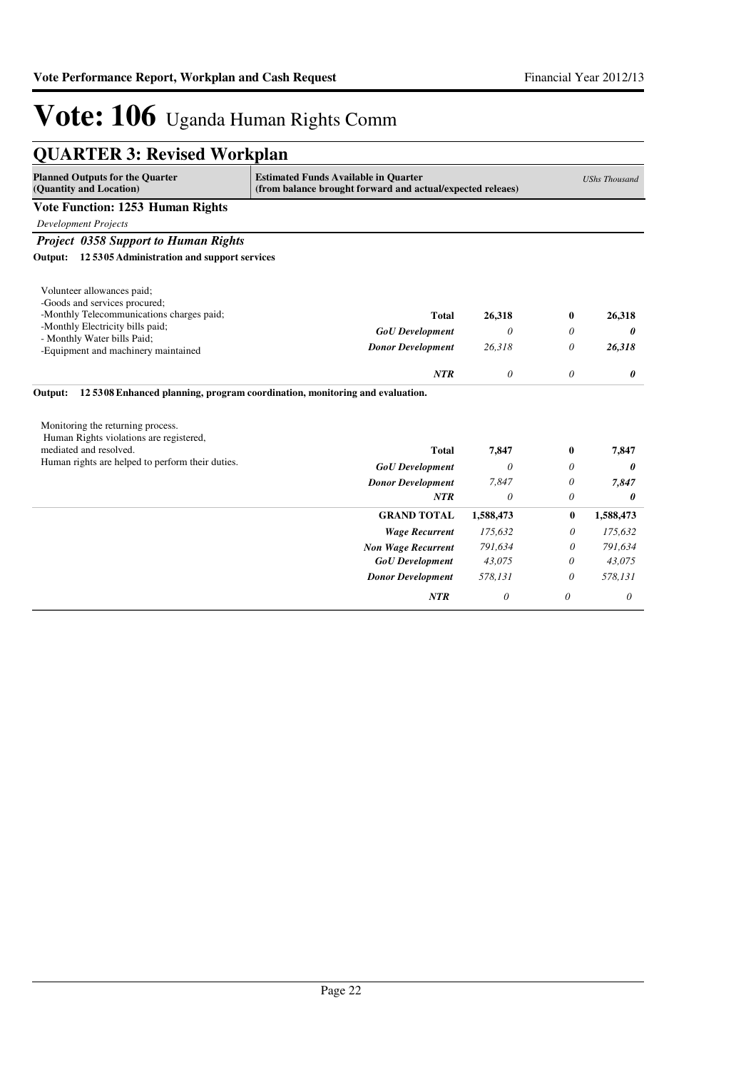| <b>QUARTER 3: Revised Workplan</b>                                                                       |                                                                                                           |                      |          |           |
|----------------------------------------------------------------------------------------------------------|-----------------------------------------------------------------------------------------------------------|----------------------|----------|-----------|
| <b>Planned Outputs for the Quarter</b><br>(Quantity and Location)                                        | <b>Estimated Funds Available in Quarter</b><br>(from balance brought forward and actual/expected releaes) | <b>UShs Thousand</b> |          |           |
| <b>Vote Function: 1253 Human Rights</b>                                                                  |                                                                                                           |                      |          |           |
| <b>Development Projects</b>                                                                              |                                                                                                           |                      |          |           |
| <b>Project 0358 Support to Human Rights</b>                                                              |                                                                                                           |                      |          |           |
| 125305 Administration and support services<br>Output:                                                    |                                                                                                           |                      |          |           |
| Volunteer allowances paid;<br>-Goods and services procured;<br>-Monthly Telecommunications charges paid; | <b>Total</b>                                                                                              | 26,318               | $\bf{0}$ | 26,318    |
| -Monthly Electricity bills paid;<br>- Monthly Water bills Paid;                                          | <b>GoU</b> Development                                                                                    | $\theta$             | 0        | 0         |
| -Equipment and machinery maintained                                                                      | <b>Donor Development</b>                                                                                  | 26,318               | 0        | 26,318    |
|                                                                                                          | NTR                                                                                                       | $\theta$             | $\theta$ | 0         |
| Output:<br>Monitoring the returning process.                                                             | 125308 Enhanced planning, program coordination, monitoring and evaluation.                                |                      |          |           |
| Human Rights violations are registered,                                                                  |                                                                                                           |                      |          |           |
| mediated and resolved.                                                                                   | <b>Total</b>                                                                                              | 7,847                | 0        | 7,847     |
| Human rights are helped to perform their duties.                                                         | <b>GoU</b> Development                                                                                    | 0                    | 0        | 0         |
|                                                                                                          | <b>Donor Development</b>                                                                                  | 7,847                | 0        | 7,847     |
|                                                                                                          | <b>NTR</b>                                                                                                | 0                    | 0        | 0         |
|                                                                                                          | <b>GRAND TOTAL</b>                                                                                        | 1,588,473            | $\bf{0}$ | 1,588,473 |
|                                                                                                          | <b>Wage Recurrent</b>                                                                                     | 175,632              | 0        | 175,632   |
|                                                                                                          | <b>Non Wage Recurrent</b>                                                                                 | 791,634              | 0        | 791,634   |
|                                                                                                          | <b>GoU</b> Development                                                                                    | 43,075               | 0        | 43,075    |
|                                                                                                          | <b>Donor Development</b>                                                                                  | 578,131              | 0        | 578,131   |
|                                                                                                          | <b>NTR</b>                                                                                                | 0                    | 0        | 0         |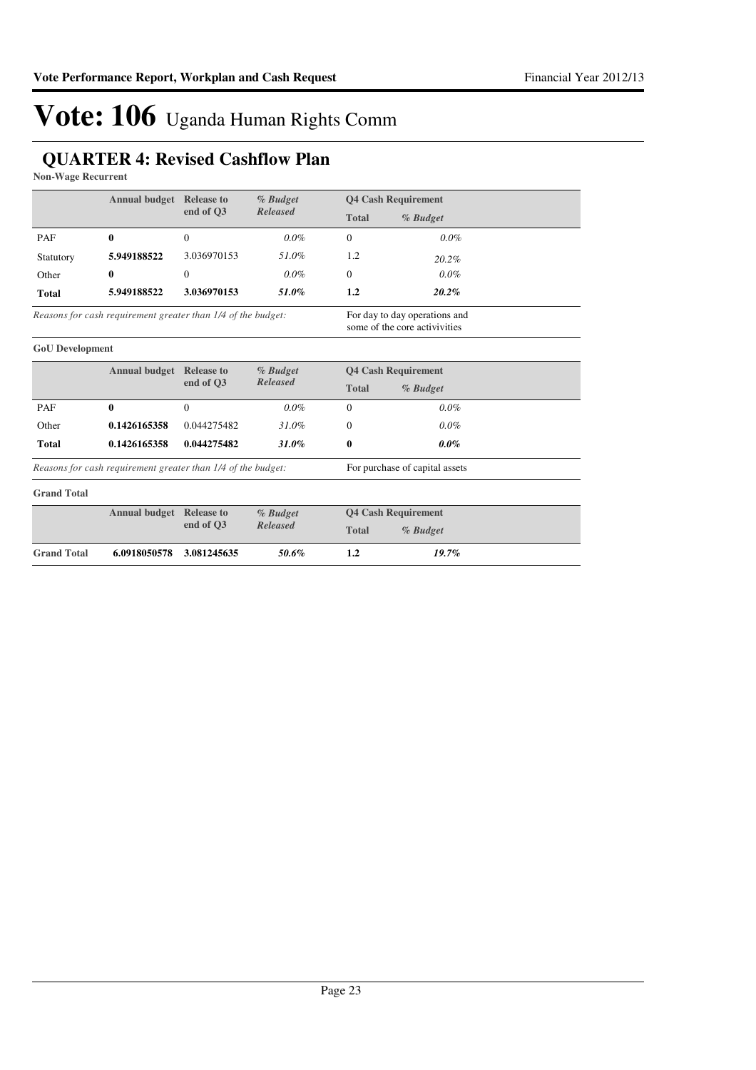### **QUARTER 4: Revised Cashflow Plan**

**Non-Wage Recurrent**

|                                                              | <b>Annual budget</b> Release to |                                                                | % Budget<br>Released           | <b>Q4 Cash Requirement</b> |                            |
|--------------------------------------------------------------|---------------------------------|----------------------------------------------------------------|--------------------------------|----------------------------|----------------------------|
|                                                              |                                 | end of O3                                                      |                                | <b>Total</b>               | % Budget                   |
| PAF                                                          | $\mathbf{0}$                    | $\Omega$                                                       | $0.0\%$                        | $\Omega$                   | 0.0%                       |
| Statutory                                                    | 5.949188522                     | 3.036970153                                                    | 51.0%                          | 1.2                        | 20.2%                      |
| Other                                                        | $\mathbf{0}$                    | $\mathbf{0}$                                                   | $0.0\%$                        | $\Omega$                   | $0.0\%$                    |
| <b>Total</b>                                                 | 5.949188522                     | 3.036970153                                                    | 51.0%                          | 1.2                        | 20.2%                      |
| Reasons for cash requirement greater than 1/4 of the budget: |                                 | For day to day operations and<br>some of the core activivities |                                |                            |                            |
| <b>GoU</b> Development                                       |                                 |                                                                |                                |                            |                            |
|                                                              |                                 | <b>Annual budget</b> Release to<br>end of O3                   | % Budget<br><b>Released</b>    | <b>Q4 Cash Requirement</b> |                            |
|                                                              |                                 |                                                                |                                | <b>Total</b>               | % Budget                   |
| PAF                                                          | $\mathbf{0}$                    | $\Omega$                                                       | $0.0\%$                        | $\Omega$                   | 0.0%                       |
| Other                                                        | 0.1426165358                    | 0.044275482                                                    | 31.0%                          | $\Omega$                   | $0.0\%$                    |
| <b>Total</b>                                                 | 0.1426165358                    | 0.044275482                                                    | 31.0%                          | 0                          | $0.0\%$                    |
| Reasons for cash requirement greater than 1/4 of the budget: |                                 |                                                                | For purchase of capital assets |                            |                            |
| <b>Grand Total</b>                                           |                                 |                                                                |                                |                            |                            |
|                                                              | <b>Annual budget</b> Release to | end of O3                                                      | % Budget<br><b>Released</b>    |                            | <b>Q4 Cash Requirement</b> |
|                                                              |                                 |                                                                |                                | <b>Total</b>               | % Budget                   |
| <b>Grand Total</b>                                           | 6.0918050578                    | 3.081245635                                                    | 50.6%                          | 1.2                        | 19.7%                      |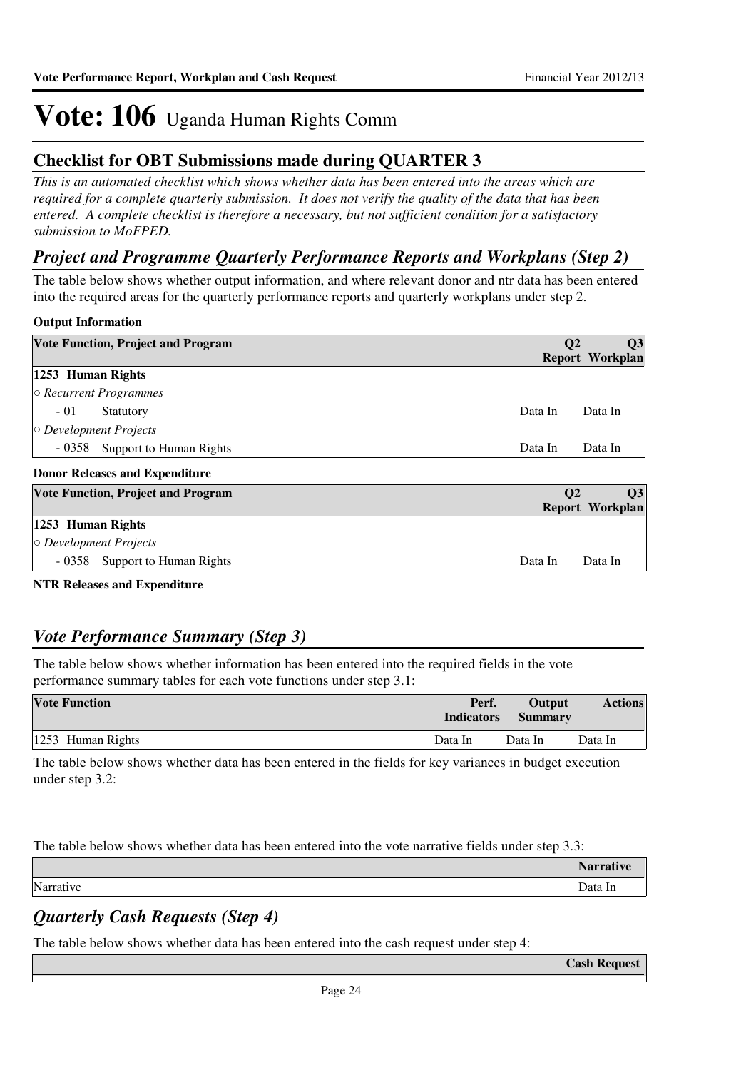### **Checklist for OBT Submissions made during QUARTER 3**

*This is an automated checklist which shows whether data has been entered into the areas which are required for a complete quarterly submission. It does not verify the quality of the data that has been entered. A complete checklist is therefore a necessary, but not sufficient condition for a satisfactory submission to MoFPED.*

### *Project and Programme Quarterly Performance Reports and Workplans (Step 2)*

The table below shows whether output information, and where relevant donor and ntr data has been entered into the required areas for the quarterly performance reports and quarterly workplans under step 2.

#### **Output Information**

| <b>Vote Function, Project and Program</b> | Q3<br>Q <sub>2</sub><br>Report Workplan |
|-------------------------------------------|-----------------------------------------|
| 1253 Human Rights                         |                                         |
| $\circ$ Recurrent Programmes              |                                         |
| $-01$<br>Statutory                        | Data In<br>Data In                      |
| $\circ$ Development Projects              |                                         |
| - 0358 Support to Human Rights            | Data In<br>Data In                      |
| <b>Donor Releases and Expenditure</b>     |                                         |
| <b>Vote Function, Project and Program</b> | $\mathbf{O}2$<br>Q3                     |
|                                           | Report Workplan                         |
| 1253 Human Rights                         |                                         |
| $\circ$ Development Projects              |                                         |
| - 0358 Support to Human Rights            | Data In<br>Data In                      |

**NTR Releases and Expenditure**

### *Vote Performance Summary (Step 3)*

The table below shows whether information has been entered into the required fields in the vote performance summary tables for each vote functions under step 3.1:

| <b>Vote Function</b> | Perf.<br><b>Indicators</b> | Output<br><b>Summary</b> | <b>Actions</b> |
|----------------------|----------------------------|--------------------------|----------------|
| 1253 Human Rights    | Data In                    | Data In                  | Data In        |

The table below shows whether data has been entered in the fields for key variances in budget execution under step 3.2:

The table below shows whether data has been entered into the vote narrative fields under step 3.3:

|           | <b>Narrative</b> |
|-----------|------------------|
| Narrative | Data In          |
|           |                  |

### *Quarterly Cash Requests (Step 4)*

The table below shows whether data has been entered into the cash request under step 4:

**Cash Request**